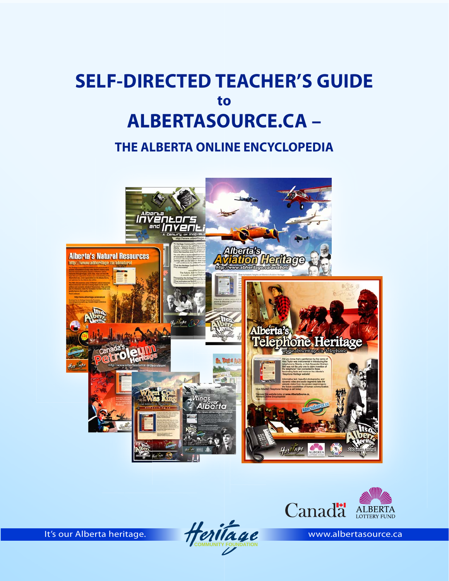## **ALBERTASOURCE.CA – SELF-DIRECTED TEACHER'S GUIDE to**

**THE ALBERTA ONLINE ENCYCLOPEDIA**





**It's our Alberta heritage. We also community FOUNDATION**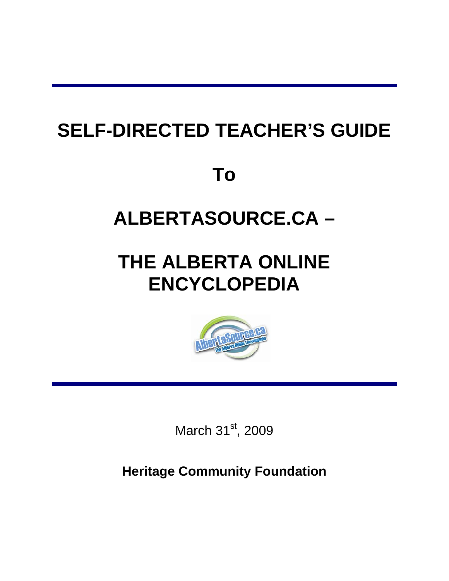# **SELF-DIRECTED TEACHER'S GUIDE**

**To** 

# **ALBERTASOURCE.CA –**

# **THE ALBERTA ONLINE ENCYCLOPEDIA**



March 31<sup>st</sup>, 2009

**Heritage Community Foundation**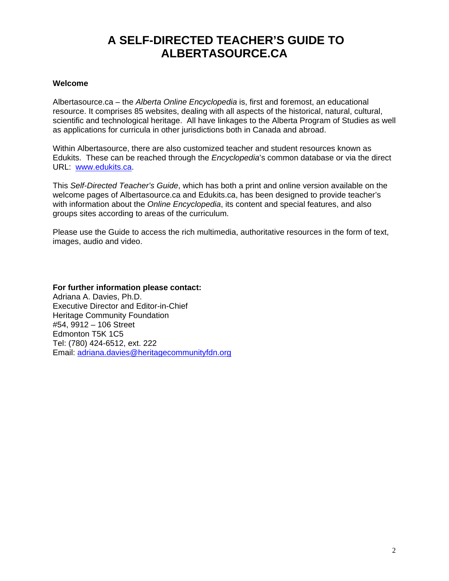## **A SELF-DIRECTED TEACHER'S GUIDE TO ALBERTASOURCE.CA**

## **Welcome**

Albertasource.ca – the *Alberta Online Encyclopedia* is, first and foremost, an educational resource. It comprises 85 websites, dealing with all aspects of the historical, natural, cultural, scientific and technological heritage. All have linkages to the Alberta Program of Studies as well as applications for curricula in other jurisdictions both in Canada and abroad.

Within Albertasource, there are also customized teacher and student resources known as Edukits. These can be reached through the *Encyclopedia*'s common database or via the direct URL: www.edukits.ca.

This *Self-Directed Teacher's Guide*, which has both a print and online version available on the welcome pages of Albertasource.ca and Edukits.ca, has been designed to provide teacher's with information about the *Online Encyclopedia*, its content and special features, and also groups sites according to areas of the curriculum.

Please use the Guide to access the rich multimedia, authoritative resources in the form of text, images, audio and video.

**For further information please contact:**  Adriana A. Davies, Ph.D. Executive Director and Editor-in-Chief Heritage Community Foundation #54, 9912 – 106 Street Edmonton T5K 1C5 Tel: (780) 424-6512, ext. 222 Email: adriana.davies@heritagecommunityfdn.org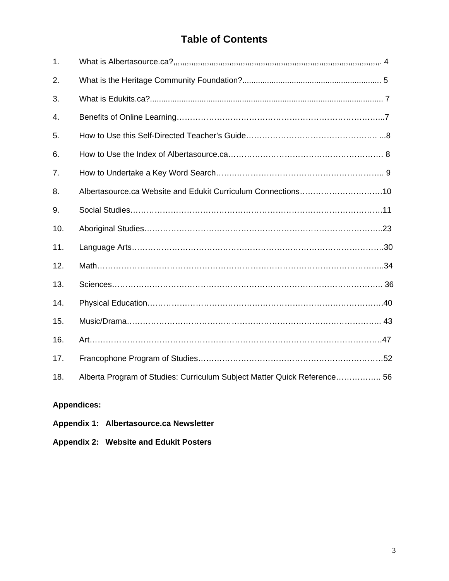## **Table of Contents**

| Albertasource.ca Website and Edukit Curriculum Connections10             |
|--------------------------------------------------------------------------|
|                                                                          |
|                                                                          |
|                                                                          |
|                                                                          |
|                                                                          |
|                                                                          |
|                                                                          |
|                                                                          |
|                                                                          |
| Alberta Program of Studies: Curriculum Subject Matter Quick Reference 56 |
|                                                                          |

## **Appendices:**

- **Appendix 1: Albertasource.ca Newsletter**
- **Appendix 2: Website and Edukit Posters**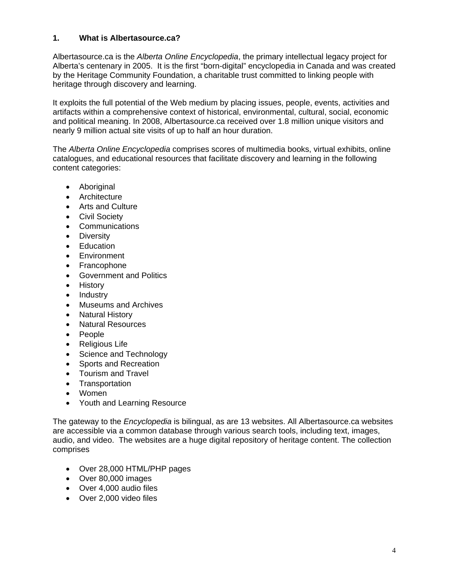## **1. What is Albertasource.ca?**

Albertasource.ca is the *Alberta Online Encyclopedia*, the primary intellectual legacy project for Alberta's centenary in 2005. It is the first "born-digital" encyclopedia in Canada and was created by the Heritage Community Foundation, a charitable trust committed to linking people with heritage through discovery and learning.

It exploits the full potential of the Web medium by placing issues, people, events, activities and artifacts within a comprehensive context of historical, environmental, cultural, social, economic and political meaning. In 2008, Albertasource.ca received over 1.8 million unique visitors and nearly 9 million actual site visits of up to half an hour duration.

The *Alberta Online Encyclopedia* comprises scores of multimedia books, virtual exhibits, online catalogues, and educational resources that facilitate discovery and learning in the following content categories:

- Aboriginal
- Architecture
- Arts and Culture
- Civil Society
- Communications
- Diversity
- Education
- **Environment**
- Francophone
- Government and Politics
- History
- Industry
- Museums and Archives
- Natural History
- Natural Resources
- People
- Religious Life
- Science and Technology
- Sports and Recreation
- Tourism and Travel
- Transportation
- Women
- Youth and Learning Resource

The gateway to the *Encyclopedia* is bilingual, as are 13 websites. All Albertasource.ca websites are accessible via a common database through various search tools, including text, images, audio, and video. The websites are a huge digital repository of heritage content. The collection comprises

- Over 28,000 HTML/PHP pages
- Over 80,000 images
- Over 4,000 audio files
- Over 2,000 video files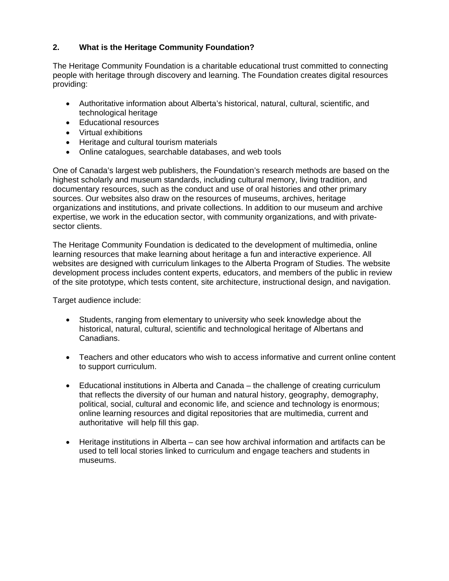## **2. What is the Heritage Community Foundation?**

The Heritage Community Foundation is a charitable educational trust committed to connecting people with heritage through discovery and learning. The Foundation creates digital resources providing:

- Authoritative information about Alberta's historical, natural, cultural, scientific, and technological heritage
- Educational resources
- Virtual exhibitions
- Heritage and cultural tourism materials
- Online catalogues, searchable databases, and web tools

One of Canada's largest web publishers, the Foundation's research methods are based on the highest scholarly and museum standards, including cultural memory, living tradition, and documentary resources, such as the conduct and use of oral histories and other primary sources. Our websites also draw on the resources of museums, archives, heritage organizations and institutions, and private collections. In addition to our museum and archive expertise, we work in the education sector, with community organizations, and with privatesector clients.

The Heritage Community Foundation is dedicated to the development of multimedia, online learning resources that make learning about heritage a fun and interactive experience. All websites are designed with curriculum linkages to the Alberta Program of Studies. The website development process includes content experts, educators, and members of the public in review of the site prototype, which tests content, site architecture, instructional design, and navigation.

Target audience include:

- Students, ranging from elementary to university who seek knowledge about the historical, natural, cultural, scientific and technological heritage of Albertans and Canadians.
- Teachers and other educators who wish to access informative and current online content to support curriculum.
- Educational institutions in Alberta and Canada the challenge of creating curriculum that reflects the diversity of our human and natural history, geography, demography, political, social, cultural and economic life, and science and technology is enormous; online learning resources and digital repositories that are multimedia, current and authoritative will help fill this gap.
- Heritage institutions in Alberta can see how archival information and artifacts can be used to tell local stories linked to curriculum and engage teachers and students in museums.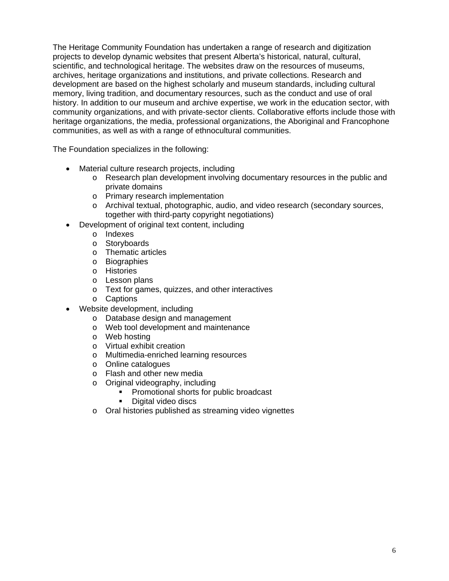The Heritage Community Foundation has undertaken a range of research and digitization projects to develop dynamic websites that present Alberta's historical, natural, cultural, scientific, and technological heritage. The websites draw on the resources of museums, archives, heritage organizations and institutions, and private collections. Research and development are based on the highest scholarly and museum standards, including cultural memory, living tradition, and documentary resources, such as the conduct and use of oral history. In addition to our museum and archive expertise, we work in the education sector, with community organizations, and with private-sector clients. Collaborative efforts include those with heritage organizations, the media, professional organizations, the Aboriginal and Francophone communities, as well as with a range of ethnocultural communities.

The Foundation specializes in the following:

- Material culture research projects, including
	- o Research plan development involving documentary resources in the public and private domains
	- o Primary research implementation
	- o Archival textual, photographic, audio, and video research (secondary sources, together with third-party copyright negotiations)
- Development of original text content, including
	- o Indexes
	- o Storyboards
	- o Thematic articles
	- o Biographies
	- o Histories
	- o Lesson plans
	- o Text for games, quizzes, and other interactives
	- o Captions
- Website development, including
	- o Database design and management
	- o Web tool development and maintenance
	- o Web hosting
	- o Virtual exhibit creation
	- o Multimedia-enriched learning resources
	- o Online catalogues
	- o Flash and other new media
	- o Original videography, including
		- Promotional shorts for public broadcast
		- Digital video discs
	- o Oral histories published as streaming video vignettes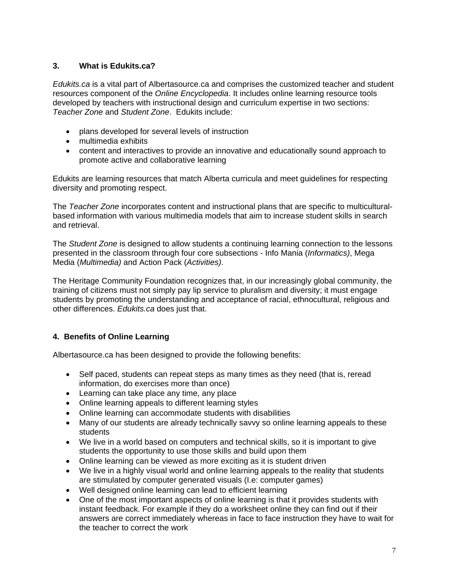## **3. What is Edukits.ca?**

*Edukits.ca* is a vital part of Albertasource.ca and comprises the customized teacher and student resources component of the *Online Encyclopedia*. It includes online learning resource tools developed by teachers with instructional design and curriculum expertise in two sections: *Teacher Zone* and *Student Zone*. Edukits include:

- plans developed for several levels of instruction
- multimedia exhibits
- content and interactives to provide an innovative and educationally sound approach to promote active and collaborative learning

Edukits are learning resources that match Alberta curricula and meet guidelines for respecting diversity and promoting respect.

The *Teacher Zone* incorporates content and instructional plans that are specific to multiculturalbased information with various multimedia models that aim to increase student skills in search and retrieval.

The *Student Zone* is designed to allow students a continuing learning connection to the lessons presented in the classroom through four core subsections - Info Mania (*Informatics)*, Mega Media (*Multimedia)* and Action Pack (*Activities)*.

The Heritage Community Foundation recognizes that, in our increasingly global community, the training of citizens must not simply pay lip service to pluralism and diversity; it must engage students by promoting the understanding and acceptance of racial, ethnocultural, religious and other differences. *Edukits.ca* does just that.

## **4. Benefits of Online Learning**

Albertasource.ca has been designed to provide the following benefits:

- Self paced, students can repeat steps as many times as they need (that is, reread information, do exercises more than once)
- Learning can take place any time, any place
- Online learning appeals to different learning styles
- Online learning can accommodate students with disabilities
- Many of our students are already technically savvy so online learning appeals to these students
- We live in a world based on computers and technical skills, so it is important to give students the opportunity to use those skills and build upon them
- Online learning can be viewed as more exciting as it is student driven
- We live in a highly visual world and online learning appeals to the reality that students are stimulated by computer generated visuals (I.e: computer games)
- Well designed online learning can lead to efficient learning
- One of the most important aspects of online learning is that it provides students with instant feedback. For example if they do a worksheet online they can find out if their answers are correct immediately whereas in face to face instruction they have to wait for the teacher to correct the work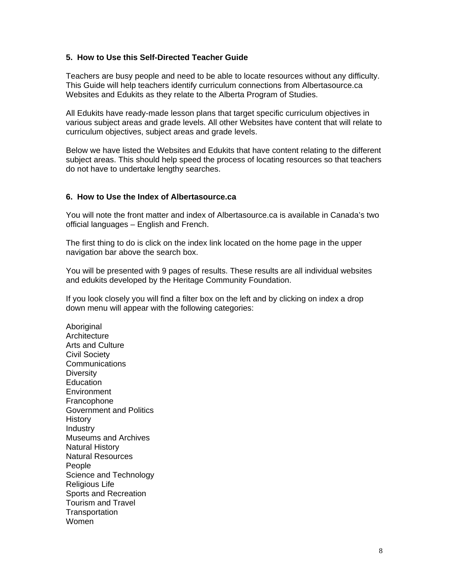## **5. How to Use this Self-Directed Teacher Guide**

Teachers are busy people and need to be able to locate resources without any difficulty. This Guide will help teachers identify curriculum connections from Albertasource.ca Websites and Edukits as they relate to the Alberta Program of Studies.

All Edukits have ready-made lesson plans that target specific curriculum objectives in various subject areas and grade levels. All other Websites have content that will relate to curriculum objectives, subject areas and grade levels.

Below we have listed the Websites and Edukits that have content relating to the different subject areas. This should help speed the process of locating resources so that teachers do not have to undertake lengthy searches.

## **6. How to Use the Index of Albertasource.ca**

You will note the front matter and index of Albertasource.ca is available in Canada's two official languages – English and French.

The first thing to do is click on the index link located on the home page in the upper navigation bar above the search box.

You will be presented with 9 pages of results. These results are all individual websites and edukits developed by the Heritage Community Foundation.

If you look closely you will find a filter box on the left and by clicking on index a drop down menu will appear with the following categories:

Aboriginal **Architecture** Arts and Culture Civil Society **Communications Diversity Education Environment** Francophone Government and Politics History **Industry** Museums and Archives Natural History Natural Resources People Science and Technology Religious Life Sports and Recreation Tourism and Travel **Transportation** Women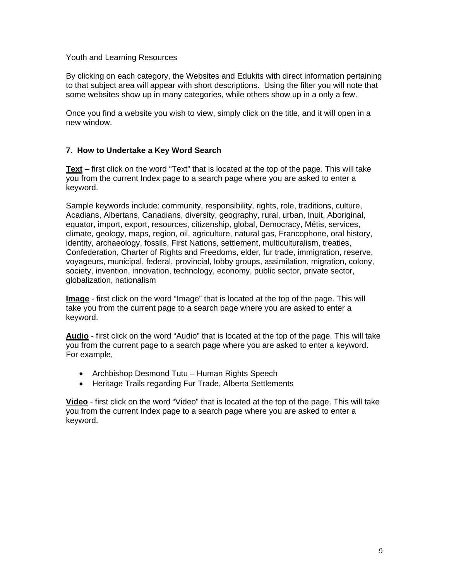## Youth and Learning Resources

By clicking on each category, the Websites and Edukits with direct information pertaining to that subject area will appear with short descriptions. Using the filter you will note that some websites show up in many categories, while others show up in a only a few.

Once you find a website you wish to view, simply click on the title, and it will open in a new window.

## **7. How to Undertake a Key Word Search**

**Text** – first click on the word "Text" that is located at the top of the page. This will take you from the current Index page to a search page where you are asked to enter a keyword.

Sample keywords include: community, responsibility, rights, role, traditions, culture, Acadians, Albertans, Canadians, diversity, geography, rural, urban, Inuit, Aboriginal, equator, import, export, resources, citizenship, global, Democracy, Métis, services, climate, geology, maps, region, oil, agriculture, natural gas, Francophone, oral history, identity, archaeology, fossils, First Nations, settlement, multiculturalism, treaties, Confederation, Charter of Rights and Freedoms, elder, fur trade, immigration, reserve, voyageurs, municipal, federal, provincial, lobby groups, assimilation, migration, colony, society, invention, innovation, technology, economy, public sector, private sector, globalization, nationalism

**Image** - first click on the word "Image" that is located at the top of the page. This will take you from the current page to a search page where you are asked to enter a keyword.

**Audio** - first click on the word "Audio" that is located at the top of the page. This will take you from the current page to a search page where you are asked to enter a keyword. For example,

- Archbishop Desmond Tutu Human Rights Speech
- Heritage Trails regarding Fur Trade, Alberta Settlements

**Video** - first click on the word "Video" that is located at the top of the page. This will take you from the current Index page to a search page where you are asked to enter a keyword.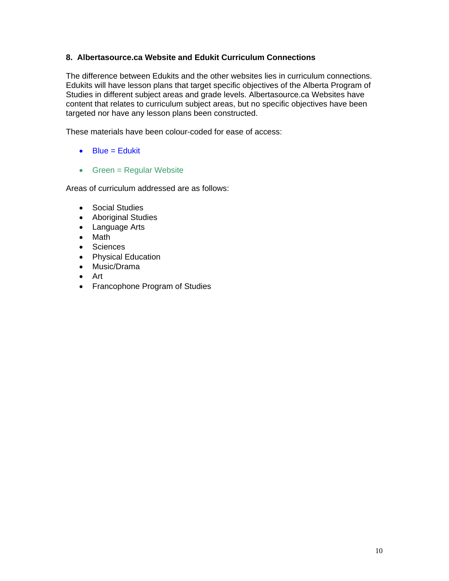## **8. Albertasource.ca Website and Edukit Curriculum Connections**

The difference between Edukits and the other websites lies in curriculum connections. Edukits will have lesson plans that target specific objectives of the Alberta Program of Studies in different subject areas and grade levels. Albertasource.ca Websites have content that relates to curriculum subject areas, but no specific objectives have been targeted nor have any lesson plans been constructed.

These materials have been colour-coded for ease of access:

- $\bullet$  Blue = Edukit
- Green = Regular Website

Areas of curriculum addressed are as follows:

- Social Studies
- Aboriginal Studies
- Language Arts
- Math
- Sciences
- Physical Education
- Music/Drama
- Art
- Francophone Program of Studies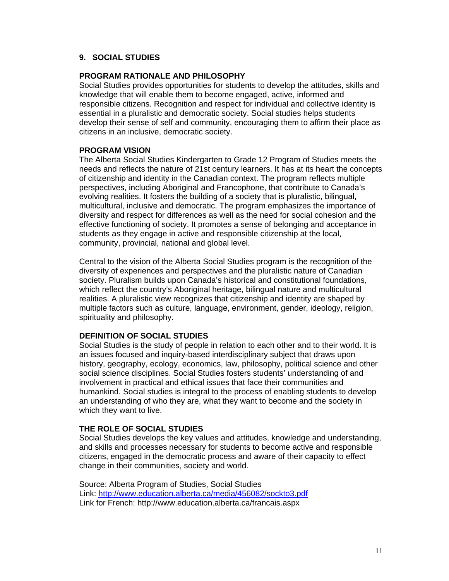## **9. SOCIAL STUDIES**

## **PROGRAM RATIONALE AND PHILOSOPHY**

Social Studies provides opportunities for students to develop the attitudes, skills and knowledge that will enable them to become engaged, active, informed and responsible citizens. Recognition and respect for individual and collective identity is essential in a pluralistic and democratic society. Social studies helps students develop their sense of self and community, encouraging them to affirm their place as citizens in an inclusive, democratic society.

## **PROGRAM VISION**

The Alberta Social Studies Kindergarten to Grade 12 Program of Studies meets the needs and reflects the nature of 21st century learners. It has at its heart the concepts of citizenship and identity in the Canadian context. The program reflects multiple perspectives, including Aboriginal and Francophone, that contribute to Canada's evolving realities. It fosters the building of a society that is pluralistic, bilingual, multicultural, inclusive and democratic. The program emphasizes the importance of diversity and respect for differences as well as the need for social cohesion and the effective functioning of society. It promotes a sense of belonging and acceptance in students as they engage in active and responsible citizenship at the local, community, provincial, national and global level.

Central to the vision of the Alberta Social Studies program is the recognition of the diversity of experiences and perspectives and the pluralistic nature of Canadian society. Pluralism builds upon Canada's historical and constitutional foundations, which reflect the country's Aboriginal heritage, bilingual nature and multicultural realities. A pluralistic view recognizes that citizenship and identity are shaped by multiple factors such as culture, language, environment, gender, ideology, religion, spirituality and philosophy.

## **DEFINITION OF SOCIAL STUDIES**

Social Studies is the study of people in relation to each other and to their world. It is an issues focused and inquiry-based interdisciplinary subject that draws upon history, geography, ecology, economics, law, philosophy, political science and other social science disciplines. Social Studies fosters students' understanding of and involvement in practical and ethical issues that face their communities and humankind. Social studies is integral to the process of enabling students to develop an understanding of who they are, what they want to become and the society in which they want to live.

## **THE ROLE OF SOCIAL STUDIES**

Social Studies develops the key values and attitudes, knowledge and understanding, and skills and processes necessary for students to become active and responsible citizens, engaged in the democratic process and aware of their capacity to effect change in their communities, society and world.

Source: Alberta Program of Studies, Social Studies Link: http://www.education.alberta.ca/media/456082/sockto3.pdf Link for French: http://www.education.alberta.ca/francais.aspx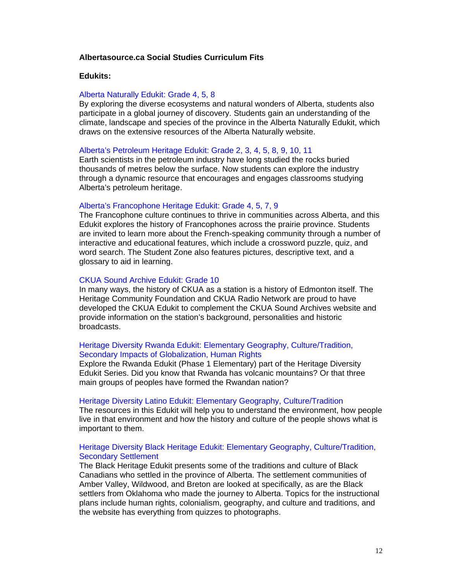## **Albertasource.ca Social Studies Curriculum Fits**

#### **Edukits:**

#### Alberta Naturally Edukit: Grade 4, 5, 8

By exploring the diverse ecosystems and natural wonders of Alberta, students also participate in a global journey of discovery. Students gain an understanding of the climate, landscape and species of the province in the Alberta Naturally Edukit, which draws on the extensive resources of the Alberta Naturally website.

Alberta's Petroleum Heritage Edukit: Grade 2, 3, 4, 5, 8, 9, 10, 11

Earth scientists in the petroleum industry have long studied the rocks buried thousands of metres below the surface. Now students can explore the industry through a dynamic resource that encourages and engages classrooms studying Alberta's petroleum heritage.

## Alberta's Francophone Heritage Edukit: Grade 4, 5, 7, 9

The Francophone culture continues to thrive in communities across Alberta, and this Edukit explores the history of Francophones across the prairie province. Students are invited to learn more about the French-speaking community through a number of interactive and educational features, which include a crossword puzzle, quiz, and word search. The Student Zone also features pictures, descriptive text, and a glossary to aid in learning.

## CKUA Sound Archive Edukit: Grade 10

In many ways, the history of CKUA as a station is a history of Edmonton itself. The Heritage Community Foundation and CKUA Radio Network are proud to have developed the CKUA Edukit to complement the CKUA Sound Archives website and provide information on the station's background, personalities and historic broadcasts.

## Heritage Diversity Rwanda Edukit: Elementary Geography, Culture/Tradition, Secondary Impacts of Globalization, Human Rights

Explore the Rwanda Edukit (Phase 1 Elementary) part of the Heritage Diversity Edukit Series. Did you know that Rwanda has volcanic mountains? Or that three main groups of peoples have formed the Rwandan nation?

#### Heritage Diversity Latino Edukit: Elementary Geography, Culture/Tradition

The resources in this Edukit will help you to understand the environment, how people live in that environment and how the history and culture of the people shows what is important to them.

## Heritage Diversity Black Heritage Edukit: Elementary Geography, Culture/Tradition, Secondary Settlement

The Black Heritage Edukit presents some of the traditions and culture of Black Canadians who settled in the province of Alberta. The settlement communities of Amber Valley, Wildwood, and Breton are looked at specifically, as are the Black settlers from Oklahoma who made the journey to Alberta. Topics for the instructional plans include human rights, colonialism, geography, and culture and traditions, and the website has everything from quizzes to photographs.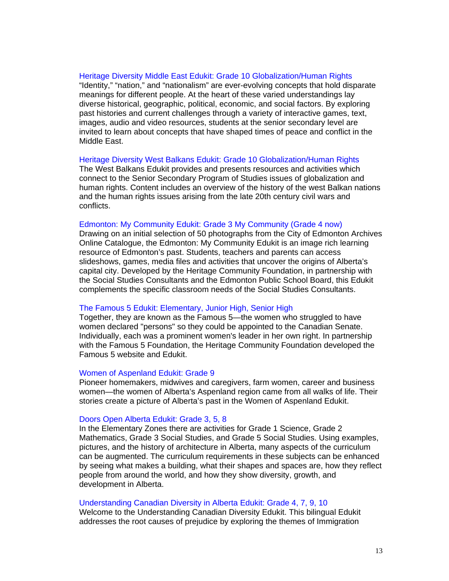#### Heritage Diversity Middle East Edukit: Grade 10 Globalization/Human Rights

"Identity," "nation," and "nationalism" are ever-evolving concepts that hold disparate meanings for different people. At the heart of these varied understandings lay diverse historical, geographic, political, economic, and social factors. By exploring past histories and current challenges through a variety of interactive games, text, images, audio and video resources, students at the senior secondary level are invited to learn about concepts that have shaped times of peace and conflict in the Middle East.

## Heritage Diversity West Balkans Edukit: Grade 10 Globalization/Human Rights

The West Balkans Edukit provides and presents resources and activities which connect to the Senior Secondary Program of Studies issues of globalization and human rights. Content includes an overview of the history of the west Balkan nations and the human rights issues arising from the late 20th century civil wars and conflicts.

## Edmonton: My Community Edukit: Grade 3 My Community (Grade 4 now)

Drawing on an initial selection of 50 photographs from the City of Edmonton Archives Online Catalogue, the Edmonton: My Community Edukit is an image rich learning resource of Edmonton's past. Students, teachers and parents can access slideshows, games, media files and activities that uncover the origins of Alberta's capital city. Developed by the Heritage Community Foundation, in partnership with the Social Studies Consultants and the Edmonton Public School Board, this Edukit complements the specific classroom needs of the Social Studies Consultants.

## The Famous 5 Edukit: Elementary, Junior High, Senior High

Together, they are known as the Famous 5—the women who struggled to have women declared "persons" so they could be appointed to the Canadian Senate. Individually, each was a prominent women's leader in her own right. In partnership with the Famous 5 Foundation, the Heritage Community Foundation developed the Famous 5 website and Edukit.

#### Women of Aspenland Edukit: Grade 9

Pioneer homemakers, midwives and caregivers, farm women, career and business women—the women of Alberta's Aspenland region came from all walks of life. Their stories create a picture of Alberta's past in the Women of Aspenland Edukit.

## Doors Open Alberta Edukit: Grade 3, 5, 8

In the Elementary Zones there are activities for Grade 1 Science, Grade 2 Mathematics, Grade 3 Social Studies, and Grade 5 Social Studies. Using examples, pictures, and the history of architecture in Alberta, many aspects of the curriculum can be augmented. The curriculum requirements in these subjects can be enhanced by seeing what makes a building, what their shapes and spaces are, how they reflect people from around the world, and how they show diversity, growth, and development in Alberta.

## Understanding Canadian Diversity in Alberta Edukit: Grade 4, 7, 9, 10

Welcome to the Understanding Canadian Diversity Edukit. This bilingual Edukit addresses the root causes of prejudice by exploring the themes of Immigration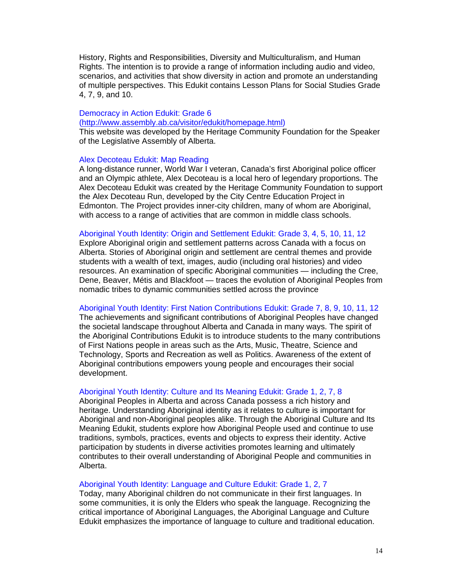History, Rights and Responsibilities, Diversity and Multiculturalism, and Human Rights. The intention is to provide a range of information including audio and video, scenarios, and activities that show diversity in action and promote an understanding of multiple perspectives. This Edukit contains Lesson Plans for Social Studies Grade 4, 7, 9, and 10.

## Democracy in Action Edukit: Grade 6 (http://www.assembly.ab.ca/visitor/edukit/homepage.html)

This website was developed by the Heritage Community Foundation for the Speaker of the Legislative Assembly of Alberta.

## Alex Decoteau Edukit: Map Reading

A long-distance runner, World War I veteran, Canada's first Aboriginal police officer and an Olympic athlete, Alex Decoteau is a local hero of legendary proportions. The Alex Decoteau Edukit was created by the Heritage Community Foundation to support the Alex Decoteau Run, developed by the City Centre Education Project in Edmonton. The Project provides inner-city children, many of whom are Aboriginal, with access to a range of activities that are common in middle class schools.

## Aboriginal Youth Identity: Origin and Settlement Edukit: Grade 3, 4, 5, 10, 11, 12

Explore Aboriginal origin and settlement patterns across Canada with a focus on Alberta. Stories of Aboriginal origin and settlement are central themes and provide students with a wealth of text, images, audio (including oral histories) and video resources. An examination of specific Aboriginal communities — including the Cree, Dene, Beaver, Métis and Blackfoot — traces the evolution of Aboriginal Peoples from nomadic tribes to dynamic communities settled across the province

## Aboriginal Youth Identity: First Nation Contributions Edukit: Grade 7, 8, 9, 10, 11, 12

The achievements and significant contributions of Aboriginal Peoples have changed the societal landscape throughout Alberta and Canada in many ways. The spirit of the Aboriginal Contributions Edukit is to introduce students to the many contributions of First Nations people in areas such as the Arts, Music, Theatre, Science and Technology, Sports and Recreation as well as Politics. Awareness of the extent of Aboriginal contributions empowers young people and encourages their social development.

## Aboriginal Youth Identity: Culture and Its Meaning Edukit: Grade 1, 2, 7, 8

Aboriginal Peoples in Alberta and across Canada possess a rich history and heritage. Understanding Aboriginal identity as it relates to culture is important for Aboriginal and non-Aboriginal peoples alike. Through the Aboriginal Culture and Its Meaning Edukit, students explore how Aboriginal People used and continue to use traditions, symbols, practices, events and objects to express their identity. Active participation by students in diverse activities promotes learning and ultimately contributes to their overall understanding of Aboriginal People and communities in Alberta.

## Aboriginal Youth Identity: Language and Culture Edukit: Grade 1, 2, 7

Today, many Aboriginal children do not communicate in their first languages. In some communities, it is only the Elders who speak the language. Recognizing the critical importance of Aboriginal Languages, the Aboriginal Language and Culture Edukit emphasizes the importance of language to culture and traditional education.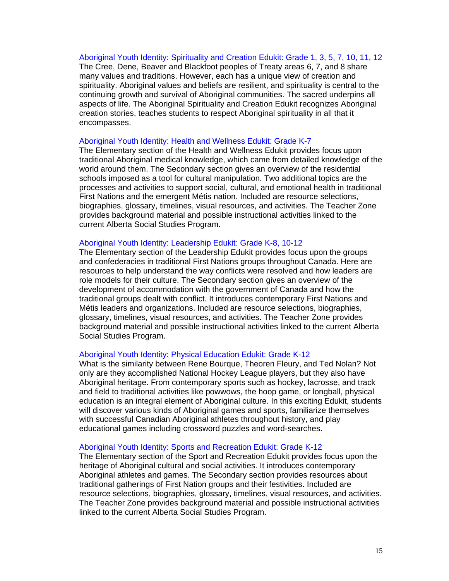## Aboriginal Youth Identity: Spirituality and Creation Edukit: Grade 1, 3, 5, 7, 10, 11, 12

The Cree, Dene, Beaver and Blackfoot peoples of Treaty areas 6, 7, and 8 share many values and traditions. However, each has a unique view of creation and spirituality. Aboriginal values and beliefs are resilient, and spirituality is central to the continuing growth and survival of Aboriginal communities. The sacred underpins all aspects of life. The Aboriginal Spirituality and Creation Edukit recognizes Aboriginal creation stories, teaches students to respect Aboriginal spirituality in all that it encompasses.

## Aboriginal Youth Identity: Health and Wellness Edukit: Grade K-7

The Elementary section of the Health and Wellness Edukit provides focus upon traditional Aboriginal medical knowledge, which came from detailed knowledge of the world around them. The Secondary section gives an overview of the residential schools imposed as a tool for cultural manipulation. Two additional topics are the processes and activities to support social, cultural, and emotional health in traditional First Nations and the emergent Métis nation. Included are resource selections, biographies, glossary, timelines, visual resources, and activities. The Teacher Zone provides background material and possible instructional activities linked to the current Alberta Social Studies Program.

## Aboriginal Youth Identity: Leadership Edukit: Grade K-8, 10-12

The Elementary section of the Leadership Edukit provides focus upon the groups and confederacies in traditional First Nations groups throughout Canada. Here are resources to help understand the way conflicts were resolved and how leaders are role models for their culture. The Secondary section gives an overview of the development of accommodation with the government of Canada and how the traditional groups dealt with conflict. It introduces contemporary First Nations and Métis leaders and organizations. Included are resource selections, biographies, glossary, timelines, visual resources, and activities. The Teacher Zone provides background material and possible instructional activities linked to the current Alberta Social Studies Program.

#### Aboriginal Youth Identity: Physical Education Edukit: Grade K-12

What is the similarity between Rene Bourque, Theoren Fleury, and Ted Nolan? Not only are they accomplished National Hockey League players, but they also have Aboriginal heritage. From contemporary sports such as hockey, lacrosse, and track and field to traditional activities like powwows, the hoop game, or longball, physical education is an integral element of Aboriginal culture. In this exciting Edukit, students will discover various kinds of Aboriginal games and sports, familiarize themselves with successful Canadian Aboriginal athletes throughout history, and play educational games including crossword puzzles and word-searches.

## Aboriginal Youth Identity: Sports and Recreation Edukit: Grade K-12

The Elementary section of the Sport and Recreation Edukit provides focus upon the heritage of Aboriginal cultural and social activities. It introduces contemporary Aboriginal athletes and games. The Secondary section provides resources about traditional gatherings of First Nation groups and their festivities. Included are resource selections, biographies, glossary, timelines, visual resources, and activities. The Teacher Zone provides background material and possible instructional activities linked to the current Alberta Social Studies Program.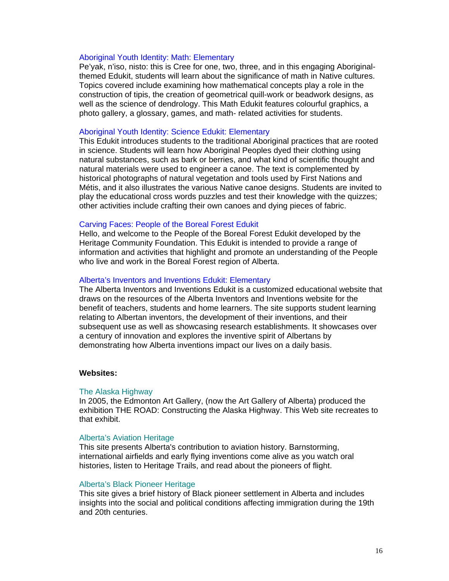## Aboriginal Youth Identity: Math: Elementary

Pe'yak, n'iso, nisto: this is Cree for one, two, three, and in this engaging Aboriginalthemed Edukit, students will learn about the significance of math in Native cultures. Topics covered include examining how mathematical concepts play a role in the construction of tipis, the creation of geometrical quill-work or beadwork designs, as well as the science of dendrology. This Math Edukit features colourful graphics, a photo gallery, a glossary, games, and math- related activities for students.

#### Aboriginal Youth Identity: Science Edukit: Elementary

This Edukit introduces students to the traditional Aboriginal practices that are rooted in science. Students will learn how Aboriginal Peoples dyed their clothing using natural substances, such as bark or berries, and what kind of scientific thought and natural materials were used to engineer a canoe. The text is complemented by historical photographs of natural vegetation and tools used by First Nations and Métis, and it also illustrates the various Native canoe designs. Students are invited to play the educational cross words puzzles and test their knowledge with the quizzes; other activities include crafting their own canoes and dying pieces of fabric.

#### Carving Faces: People of the Boreal Forest Edukit

Hello, and welcome to the People of the Boreal Forest Edukit developed by the Heritage Community Foundation. This Edukit is intended to provide a range of information and activities that highlight and promote an understanding of the People who live and work in the Boreal Forest region of Alberta.

## Alberta's Inventors and Inventions Edukit: Elementary

The Alberta Inventors and Inventions Edukit is a customized educational website that draws on the resources of the Alberta Inventors and Inventions website for the benefit of teachers, students and home learners. The site supports student learning relating to Albertan inventors, the development of their inventions, and their subsequent use as well as showcasing research establishments. It showcases over a century of innovation and explores the inventive spirit of Albertans by demonstrating how Alberta inventions impact our lives on a daily basis.

#### **Websites:**

#### The Alaska Highway

In 2005, the Edmonton Art Gallery, (now the Art Gallery of Alberta) produced the exhibition THE ROAD: Constructing the Alaska Highway. This Web site recreates to that exhibit.

#### Alberta's Aviation Heritage

This site presents Alberta's contribution to aviation history. Barnstorming, international airfields and early flying inventions come alive as you watch oral histories, listen to Heritage Trails, and read about the pioneers of flight.

## Alberta's Black Pioneer Heritage

This site gives a brief history of Black pioneer settlement in Alberta and includes insights into the social and political conditions affecting immigration during the 19th and 20th centuries.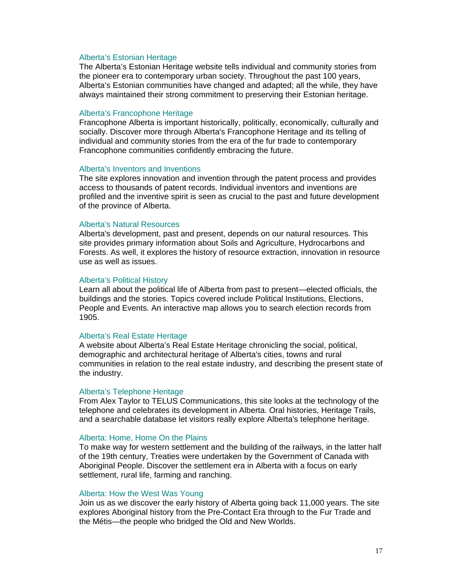#### Alberta's Estonian Heritage

The Alberta's Estonian Heritage website tells individual and community stories from the pioneer era to contemporary urban society. Throughout the past 100 years, Alberta's Estonian communities have changed and adapted; all the while, they have always maintained their strong commitment to preserving their Estonian heritage.

## Alberta's Francophone Heritage

Francophone Alberta is important historically, politically, economically, culturally and socially. Discover more through Alberta's Francophone Heritage and its telling of individual and community stories from the era of the fur trade to contemporary Francophone communities confidently embracing the future.

## Alberta's Inventors and Inventions

The site explores innovation and invention through the patent process and provides access to thousands of patent records. Individual inventors and inventions are profiled and the inventive spirit is seen as crucial to the past and future development of the province of Alberta.

## Alberta's Natural Resources

Alberta's development, past and present, depends on our natural resources. This site provides primary information about Soils and Agriculture, Hydrocarbons and Forests. As well, it explores the history of resource extraction, innovation in resource use as well as issues.

#### Alberta's Political History

Learn all about the political life of Alberta from past to present—elected officials, the buildings and the stories. Topics covered include Political Institutions, Elections, People and Events. An interactive map allows you to search election records from 1905.

#### Alberta's Real Estate Heritage

A website about Alberta's Real Estate Heritage chronicling the social, political, demographic and architectural heritage of Alberta's cities, towns and rural communities in relation to the real estate industry, and describing the present state of the industry.

#### Alberta's Telephone Heritage

From Alex Taylor to TELUS Communications, this site looks at the technology of the telephone and celebrates its development in Alberta. Oral histories, Heritage Trails, and a searchable database let visitors really explore Alberta's telephone heritage.

## Alberta: Home, Home On the Plains

To make way for western settlement and the building of the railways, in the latter half of the 19th century, Treaties were undertaken by the Government of Canada with Aboriginal People. Discover the settlement era in Alberta with a focus on early settlement, rural life, farming and ranching.

#### Alberta: How the West Was Young

Join us as we discover the early history of Alberta going back 11,000 years. The site explores Aboriginal history from the Pre-Contact Era through to the Fur Trade and the Métis—the people who bridged the Old and New Worlds.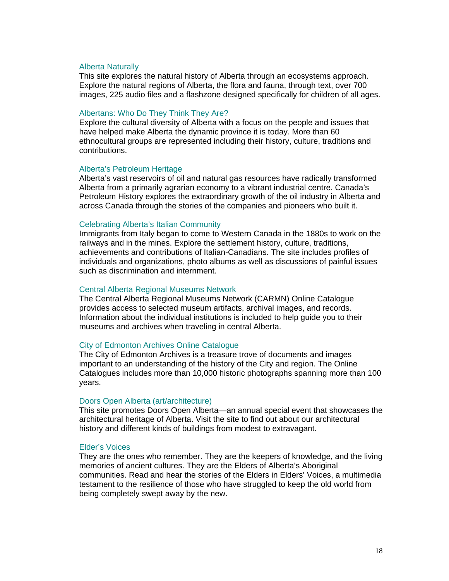## Alberta Naturally

This site explores the natural history of Alberta through an ecosystems approach. Explore the natural regions of Alberta, the flora and fauna, through text, over 700 images, 225 audio files and a flashzone designed specifically for children of all ages.

## Albertans: Who Do They Think They Are?

Explore the cultural diversity of Alberta with a focus on the people and issues that have helped make Alberta the dynamic province it is today. More than 60 ethnocultural groups are represented including their history, culture, traditions and contributions.

## Alberta's Petroleum Heritage

Alberta's vast reservoirs of oil and natural gas resources have radically transformed Alberta from a primarily agrarian economy to a vibrant industrial centre. Canada's Petroleum History explores the extraordinary growth of the oil industry in Alberta and across Canada through the stories of the companies and pioneers who built it.

#### Celebrating Alberta's Italian Community

Immigrants from Italy began to come to Western Canada in the 1880s to work on the railways and in the mines. Explore the settlement history, culture, traditions, achievements and contributions of Italian-Canadians. The site includes profiles of individuals and organizations, photo albums as well as discussions of painful issues such as discrimination and internment.

#### Central Alberta Regional Museums Network

The Central Alberta Regional Museums Network (CARMN) Online Catalogue provides access to selected museum artifacts, archival images, and records. Information about the individual institutions is included to help guide you to their museums and archives when traveling in central Alberta.

## City of Edmonton Archives Online Catalogue

The City of Edmonton Archives is a treasure trove of documents and images important to an understanding of the history of the City and region. The Online Catalogues includes more than 10,000 historic photographs spanning more than 100 years.

## Doors Open Alberta (art/architecture)

This site promotes Doors Open Alberta—an annual special event that showcases the architectural heritage of Alberta. Visit the site to find out about our architectural history and different kinds of buildings from modest to extravagant.

#### Elder's Voices

They are the ones who remember. They are the keepers of knowledge, and the living memories of ancient cultures. They are the Elders of Alberta's Aboriginal communities. Read and hear the stories of the Elders in Elders' Voices, a multimedia testament to the resilience of those who have struggled to keep the old world from being completely swept away by the new.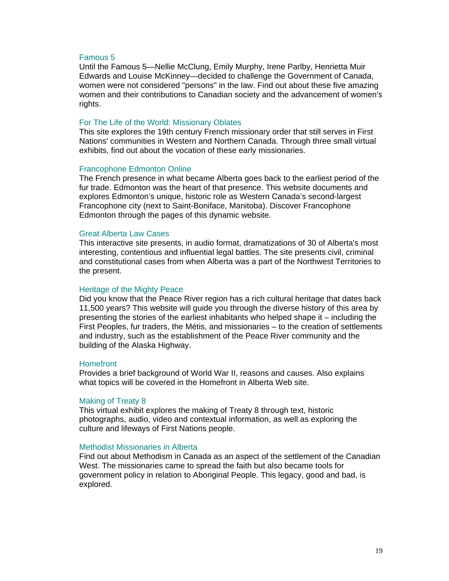## Famous 5

Until the Famous 5—Nellie McClung, Emily Murphy, Irene Parlby, Henrietta Muir Edwards and Louise McKinney—decided to challenge the Government of Canada, women were not considered "persons" in the law. Find out about these five amazing women and their contributions to Canadian society and the advancement of women's rights.

## For The Life of the World: Missionary Oblates

This site explores the 19th century French missionary order that still serves in First Nations' communities in Western and Northern Canada. Through three small virtual exhibits, find out about the vocation of these early missionaries.

#### Francophone Edmonton Online

The French presence in what became Alberta goes back to the earliest period of the fur trade. Edmonton was the heart of that presence. This website documents and explores Edmonton's unique, historic role as Western Canada's second-largest Francophone city (next to Saint-Boniface, Manitoba). Discover Francophone Edmonton through the pages of this dynamic website.

## Great Alberta Law Cases

This interactive site presents, in audio format, dramatizations of 30 of Alberta's most interesting, contentious and influential legal battles. The site presents civil, criminal and constitutional cases from when Alberta was a part of the Northwest Territories to the present.

## Heritage of the Mighty Peace

Did you know that the Peace River region has a rich cultural heritage that dates back 11,500 years? This website will guide you through the diverse history of this area by presenting the stories of the earliest inhabitants who helped shape it – including the First Peoples, fur traders, the Métis, and missionaries – to the creation of settlements and industry, such as the establishment of the Peace River community and the building of the Alaska Highway.

## **Homefront**

Provides a brief background of World War II, reasons and causes. Also explains what topics will be covered in the Homefront in Alberta Web site.

#### Making of Treaty 8

This virtual exhibit explores the making of Treaty 8 through text, historic photographs, audio, video and contextual information, as well as exploring the culture and lifeways of First Nations people.

## Methodist Missionaries in Alberta

Find out about Methodism in Canada as an aspect of the settlement of the Canadian West. The missionaries came to spread the faith but also became tools for government policy in relation to Aboriginal People. This legacy, good and bad, is explored.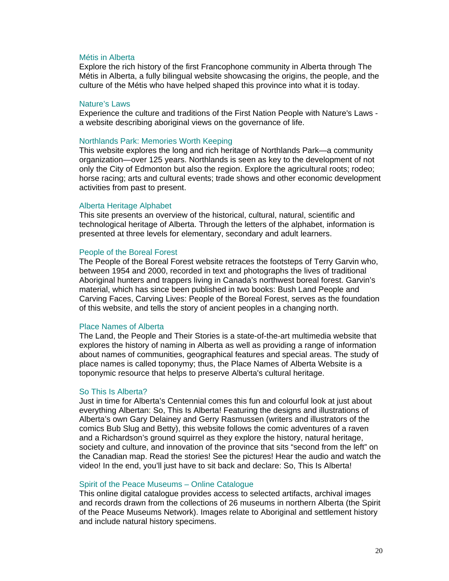## Métis in Alberta

Explore the rich history of the first Francophone community in Alberta through The Métis in Alberta, a fully bilingual website showcasing the origins, the people, and the culture of the Métis who have helped shaped this province into what it is today.

#### Nature's Laws

Experience the culture and traditions of the First Nation People with Nature's Laws a website describing aboriginal views on the governance of life.

## Northlands Park: Memories Worth Keeping

This website explores the long and rich heritage of Northlands Park—a community organization—over 125 years. Northlands is seen as key to the development of not only the City of Edmonton but also the region. Explore the agricultural roots; rodeo; horse racing; arts and cultural events; trade shows and other economic development activities from past to present.

## Alberta Heritage Alphabet

This site presents an overview of the historical, cultural, natural, scientific and technological heritage of Alberta. Through the letters of the alphabet, information is presented at three levels for elementary, secondary and adult learners.

## People of the Boreal Forest

The People of the Boreal Forest website retraces the footsteps of Terry Garvin who, between 1954 and 2000, recorded in text and photographs the lives of traditional Aboriginal hunters and trappers living in Canada's northwest boreal forest. Garvin's material, which has since been published in two books: Bush Land People and Carving Faces, Carving Lives: People of the Boreal Forest, serves as the foundation of this website, and tells the story of ancient peoples in a changing north.

## Place Names of Alberta

The Land, the People and Their Stories is a state-of-the-art multimedia website that explores the history of naming in Alberta as well as providing a range of information about names of communities, geographical features and special areas. The study of place names is called toponymy; thus, the Place Names of Alberta Website is a toponymic resource that helps to preserve Alberta's cultural heritage.

## So This Is Alberta?

Just in time for Alberta's Centennial comes this fun and colourful look at just about everything Albertan: So, This Is Alberta! Featuring the designs and illustrations of Alberta's own Gary Delainey and Gerry Rasmussen (writers and illustrators of the comics Bub Slug and Betty), this website follows the comic adventures of a raven and a Richardson's ground squirrel as they explore the history, natural heritage, society and culture, and innovation of the province that sits "second from the left" on the Canadian map. Read the stories! See the pictures! Hear the audio and watch the video! In the end, you'll just have to sit back and declare: So, This Is Alberta!

## Spirit of the Peace Museums – Online Catalogue

This online digital catalogue provides access to selected artifacts, archival images and records drawn from the collections of 26 museums in northern Alberta (the Spirit of the Peace Museums Network). Images relate to Aboriginal and settlement history and include natural history specimens.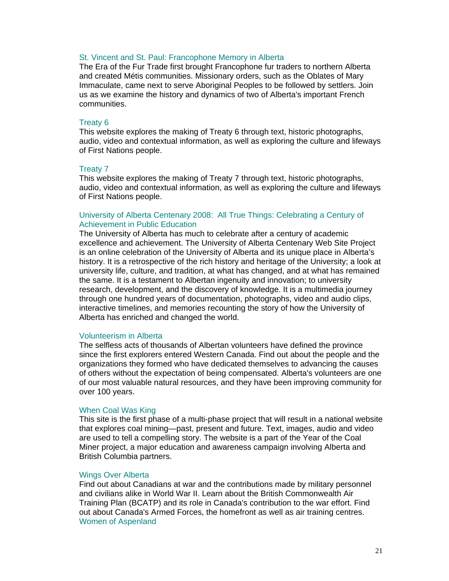## St. Vincent and St. Paul: Francophone Memory in Alberta

The Era of the Fur Trade first brought Francophone fur traders to northern Alberta and created Métis communities. Missionary orders, such as the Oblates of Mary Immaculate, came next to serve Aboriginal Peoples to be followed by settlers. Join us as we examine the history and dynamics of two of Alberta's important French communities.

## Treaty 6

This website explores the making of Treaty 6 through text, historic photographs, audio, video and contextual information, as well as exploring the culture and lifeways of First Nations people.

#### Treaty 7

This website explores the making of Treaty 7 through text, historic photographs, audio, video and contextual information, as well as exploring the culture and lifeways of First Nations people.

## University of Alberta Centenary 2008: All True Things: Celebrating a Century of Achievement in Public Education

The University of Alberta has much to celebrate after a century of academic excellence and achievement. The University of Alberta Centenary Web Site Project is an online celebration of the University of Alberta and its unique place in Alberta's history. It is a retrospective of the rich history and heritage of the University; a look at university life, culture, and tradition, at what has changed, and at what has remained the same. It is a testament to Albertan ingenuity and innovation; to university research, development, and the discovery of knowledge. It is a multimedia journey through one hundred years of documentation, photographs, video and audio clips, interactive timelines, and memories recounting the story of how the University of Alberta has enriched and changed the world.

#### Volunteerism in Alberta

The selfless acts of thousands of Albertan volunteers have defined the province since the first explorers entered Western Canada. Find out about the people and the organizations they formed who have dedicated themselves to advancing the causes of others without the expectation of being compensated. Alberta's volunteers are one of our most valuable natural resources, and they have been improving community for over 100 years.

## When Coal Was King

This site is the first phase of a multi-phase project that will result in a national website that explores coal mining—past, present and future. Text, images, audio and video are used to tell a compelling story. The website is a part of the Year of the Coal Miner project, a major education and awareness campaign involving Alberta and British Columbia partners.

#### Wings Over Alberta

Find out about Canadians at war and the contributions made by military personnel and civilians alike in World War II. Learn about the British Commonwealth Air Training Plan (BCATP) and its role in Canada's contribution to the war effort. Find out about Canada's Armed Forces, the homefront as well as air training centres. Women of Aspenland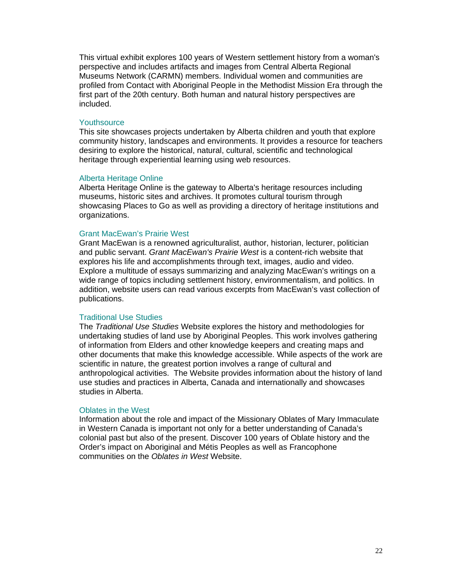This virtual exhibit explores 100 years of Western settlement history from a woman's perspective and includes artifacts and images from Central Alberta Regional Museums Network (CARMN) members. Individual women and communities are profiled from Contact with Aboriginal People in the Methodist Mission Era through the first part of the 20th century. Both human and natural history perspectives are included.

## **Youthsource**

This site showcases projects undertaken by Alberta children and youth that explore community history, landscapes and environments. It provides a resource for teachers desiring to explore the historical, natural, cultural, scientific and technological heritage through experiential learning using web resources.

## Alberta Heritage Online

Alberta Heritage Online is the gateway to Alberta's heritage resources including museums, historic sites and archives. It promotes cultural tourism through showcasing Places to Go as well as providing a directory of heritage institutions and organizations.

## Grant MacEwan's Prairie West

Grant MacEwan is a renowned agriculturalist, author, historian, lecturer, politician and public servant. *Grant MacEwan's Prairie West* is a content-rich website that explores his life and accomplishments through text, images, audio and video. Explore a multitude of essays summarizing and analyzing MacEwan's writings on a wide range of topics including settlement history, environmentalism, and politics. In addition, website users can read various excerpts from MacEwan's vast collection of publications.

#### Traditional Use Studies

The *Traditional Use Studies* Website explores the history and methodologies for undertaking studies of land use by Aboriginal Peoples. This work involves gathering of information from Elders and other knowledge keepers and creating maps and other documents that make this knowledge accessible. While aspects of the work are scientific in nature, the greatest portion involves a range of cultural and anthropological activities. The Website provides information about the history of land use studies and practices in Alberta, Canada and internationally and showcases studies in Alberta.

## Oblates in the West

Information about the role and impact of the Missionary Oblates of Mary Immaculate in Western Canada is important not only for a better understanding of Canada's colonial past but also of the present. Discover 100 years of Oblate history and the Order's impact on Aboriginal and Métis Peoples as well as Francophone communities on the *Oblates in West* Website.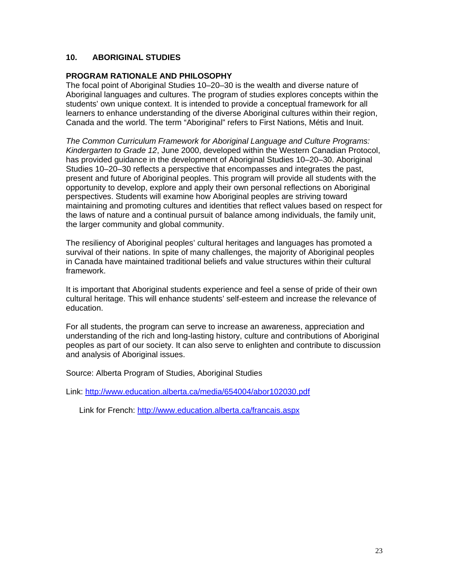## **10. ABORIGINAL STUDIES**

## **PROGRAM RATIONALE AND PHILOSOPHY**

The focal point of Aboriginal Studies 10–20–30 is the wealth and diverse nature of Aboriginal languages and cultures. The program of studies explores concepts within the students' own unique context. It is intended to provide a conceptual framework for all learners to enhance understanding of the diverse Aboriginal cultures within their region, Canada and the world. The term "Aboriginal" refers to First Nations, Métis and Inuit.

*The Common Curriculum Framework for Aboriginal Language and Culture Programs: Kindergarten to Grade 12*, June 2000, developed within the Western Canadian Protocol, has provided guidance in the development of Aboriginal Studies 10–20–30. Aboriginal Studies 10–20–30 reflects a perspective that encompasses and integrates the past, present and future of Aboriginal peoples. This program will provide all students with the opportunity to develop, explore and apply their own personal reflections on Aboriginal perspectives. Students will examine how Aboriginal peoples are striving toward maintaining and promoting cultures and identities that reflect values based on respect for the laws of nature and a continual pursuit of balance among individuals, the family unit, the larger community and global community.

The resiliency of Aboriginal peoples' cultural heritages and languages has promoted a survival of their nations. In spite of many challenges, the majority of Aboriginal peoples in Canada have maintained traditional beliefs and value structures within their cultural framework.

It is important that Aboriginal students experience and feel a sense of pride of their own cultural heritage. This will enhance students' self-esteem and increase the relevance of education.

For all students, the program can serve to increase an awareness, appreciation and understanding of the rich and long-lasting history, culture and contributions of Aboriginal peoples as part of our society. It can also serve to enlighten and contribute to discussion and analysis of Aboriginal issues.

Source: Alberta Program of Studies, Aboriginal Studies

Link: http://www.education.alberta.ca/media/654004/abor102030.pdf

Link for French: http://www.education.alberta.ca/francais.aspx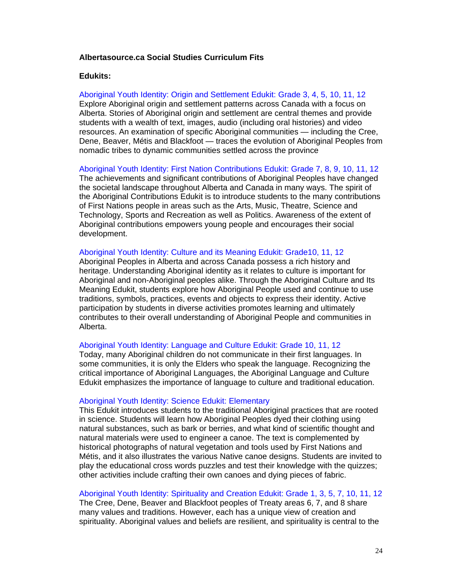## **Albertasource.ca Social Studies Curriculum Fits**

#### **Edukits:**

Aboriginal Youth Identity: Origin and Settlement Edukit: Grade 3, 4, 5, 10, 11, 12 Explore Aboriginal origin and settlement patterns across Canada with a focus on Alberta. Stories of Aboriginal origin and settlement are central themes and provide students with a wealth of text, images, audio (including oral histories) and video resources. An examination of specific Aboriginal communities — including the Cree, Dene, Beaver, Métis and Blackfoot — traces the evolution of Aboriginal Peoples from nomadic tribes to dynamic communities settled across the province

Aboriginal Youth Identity: First Nation Contributions Edukit: Grade 7, 8, 9, 10, 11, 12

The achievements and significant contributions of Aboriginal Peoples have changed the societal landscape throughout Alberta and Canada in many ways. The spirit of the Aboriginal Contributions Edukit is to introduce students to the many contributions of First Nations people in areas such as the Arts, Music, Theatre, Science and Technology, Sports and Recreation as well as Politics. Awareness of the extent of Aboriginal contributions empowers young people and encourages their social development.

## Aboriginal Youth Identity: Culture and its Meaning Edukit: Grade10, 11, 12

Aboriginal Peoples in Alberta and across Canada possess a rich history and heritage. Understanding Aboriginal identity as it relates to culture is important for Aboriginal and non-Aboriginal peoples alike. Through the Aboriginal Culture and Its Meaning Edukit, students explore how Aboriginal People used and continue to use traditions, symbols, practices, events and objects to express their identity. Active participation by students in diverse activities promotes learning and ultimately contributes to their overall understanding of Aboriginal People and communities in Alberta.

#### Aboriginal Youth Identity: Language and Culture Edukit: Grade 10, 11, 12

Today, many Aboriginal children do not communicate in their first languages. In some communities, it is only the Elders who speak the language. Recognizing the critical importance of Aboriginal Languages, the Aboriginal Language and Culture Edukit emphasizes the importance of language to culture and traditional education.

#### Aboriginal Youth Identity: Science Edukit: Elementary

This Edukit introduces students to the traditional Aboriginal practices that are rooted in science. Students will learn how Aboriginal Peoples dyed their clothing using natural substances, such as bark or berries, and what kind of scientific thought and natural materials were used to engineer a canoe. The text is complemented by historical photographs of natural vegetation and tools used by First Nations and Métis, and it also illustrates the various Native canoe designs. Students are invited to play the educational cross words puzzles and test their knowledge with the quizzes; other activities include crafting their own canoes and dying pieces of fabric.

## Aboriginal Youth Identity: Spirituality and Creation Edukit: Grade 1, 3, 5, 7, 10, 11, 12

The Cree, Dene, Beaver and Blackfoot peoples of Treaty areas 6, 7, and 8 share many values and traditions. However, each has a unique view of creation and spirituality. Aboriginal values and beliefs are resilient, and spirituality is central to the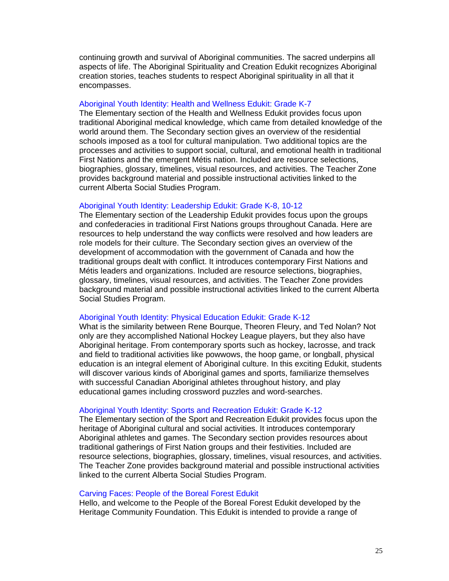continuing growth and survival of Aboriginal communities. The sacred underpins all aspects of life. The Aboriginal Spirituality and Creation Edukit recognizes Aboriginal creation stories, teaches students to respect Aboriginal spirituality in all that it encompasses.

## Aboriginal Youth Identity: Health and Wellness Edukit: Grade K-7

The Elementary section of the Health and Wellness Edukit provides focus upon traditional Aboriginal medical knowledge, which came from detailed knowledge of the world around them. The Secondary section gives an overview of the residential schools imposed as a tool for cultural manipulation. Two additional topics are the processes and activities to support social, cultural, and emotional health in traditional First Nations and the emergent Métis nation. Included are resource selections, biographies, glossary, timelines, visual resources, and activities. The Teacher Zone provides background material and possible instructional activities linked to the current Alberta Social Studies Program.

## Aboriginal Youth Identity: Leadership Edukit: Grade K-8, 10-12

The Elementary section of the Leadership Edukit provides focus upon the groups and confederacies in traditional First Nations groups throughout Canada. Here are resources to help understand the way conflicts were resolved and how leaders are role models for their culture. The Secondary section gives an overview of the development of accommodation with the government of Canada and how the traditional groups dealt with conflict. It introduces contemporary First Nations and Métis leaders and organizations. Included are resource selections, biographies, glossary, timelines, visual resources, and activities. The Teacher Zone provides background material and possible instructional activities linked to the current Alberta Social Studies Program.

#### Aboriginal Youth Identity: Physical Education Edukit: Grade K-12

What is the similarity between Rene Bourque, Theoren Fleury, and Ted Nolan? Not only are they accomplished National Hockey League players, but they also have Aboriginal heritage. From contemporary sports such as hockey, lacrosse, and track and field to traditional activities like powwows, the hoop game, or longball, physical education is an integral element of Aboriginal culture. In this exciting Edukit, students will discover various kinds of Aboriginal games and sports, familiarize themselves with successful Canadian Aboriginal athletes throughout history, and play educational games including crossword puzzles and word-searches.

## Aboriginal Youth Identity: Sports and Recreation Edukit: Grade K-12

The Elementary section of the Sport and Recreation Edukit provides focus upon the heritage of Aboriginal cultural and social activities. It introduces contemporary Aboriginal athletes and games. The Secondary section provides resources about traditional gatherings of First Nation groups and their festivities. Included are resource selections, biographies, glossary, timelines, visual resources, and activities. The Teacher Zone provides background material and possible instructional activities linked to the current Alberta Social Studies Program.

#### Carving Faces: People of the Boreal Forest Edukit

Hello, and welcome to the People of the Boreal Forest Edukit developed by the Heritage Community Foundation. This Edukit is intended to provide a range of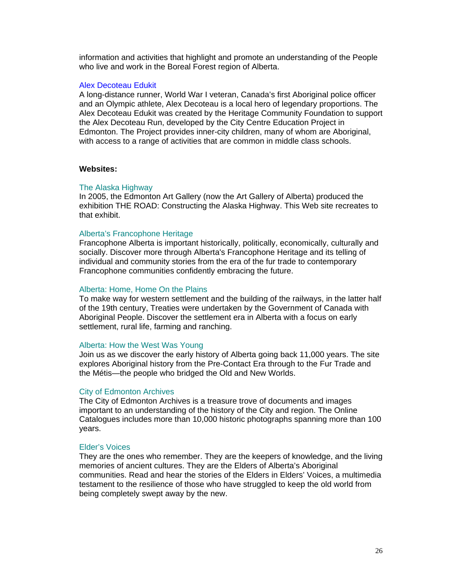information and activities that highlight and promote an understanding of the People who live and work in the Boreal Forest region of Alberta.

#### Alex Decoteau Edukit

A long-distance runner, World War I veteran, Canada's first Aboriginal police officer and an Olympic athlete, Alex Decoteau is a local hero of legendary proportions. The Alex Decoteau Edukit was created by the Heritage Community Foundation to support the Alex Decoteau Run, developed by the City Centre Education Project in Edmonton. The Project provides inner-city children, many of whom are Aboriginal, with access to a range of activities that are common in middle class schools.

## **Websites:**

#### The Alaska Highway

In 2005, the Edmonton Art Gallery (now the Art Gallery of Alberta) produced the exhibition THE ROAD: Constructing the Alaska Highway. This Web site recreates to that exhibit.

#### Alberta's Francophone Heritage

Francophone Alberta is important historically, politically, economically, culturally and socially. Discover more through Alberta's Francophone Heritage and its telling of individual and community stories from the era of the fur trade to contemporary Francophone communities confidently embracing the future.

#### Alberta: Home, Home On the Plains

To make way for western settlement and the building of the railways, in the latter half of the 19th century, Treaties were undertaken by the Government of Canada with Aboriginal People. Discover the settlement era in Alberta with a focus on early settlement, rural life, farming and ranching.

#### Alberta: How the West Was Young

Join us as we discover the early history of Alberta going back 11,000 years. The site explores Aboriginal history from the Pre-Contact Era through to the Fur Trade and the Métis—the people who bridged the Old and New Worlds.

## City of Edmonton Archives

The City of Edmonton Archives is a treasure trove of documents and images important to an understanding of the history of the City and region. The Online Catalogues includes more than 10,000 historic photographs spanning more than 100 years.

#### Elder's Voices

They are the ones who remember. They are the keepers of knowledge, and the living memories of ancient cultures. They are the Elders of Alberta's Aboriginal communities. Read and hear the stories of the Elders in Elders' Voices, a multimedia testament to the resilience of those who have struggled to keep the old world from being completely swept away by the new.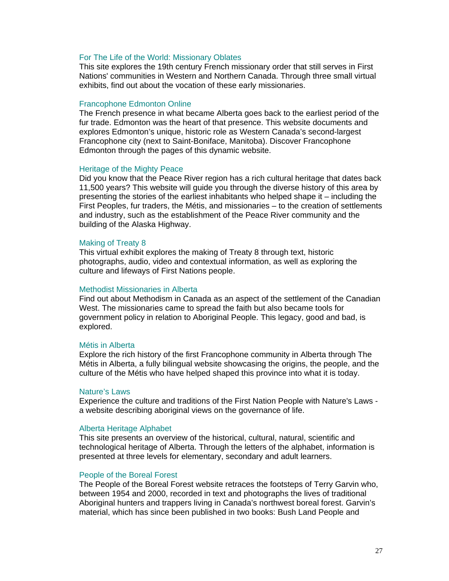## For The Life of the World: Missionary Oblates

This site explores the 19th century French missionary order that still serves in First Nations' communities in Western and Northern Canada. Through three small virtual exhibits, find out about the vocation of these early missionaries.

#### Francophone Edmonton Online

The French presence in what became Alberta goes back to the earliest period of the fur trade. Edmonton was the heart of that presence. This website documents and explores Edmonton's unique, historic role as Western Canada's second-largest Francophone city (next to Saint-Boniface, Manitoba). Discover Francophone Edmonton through the pages of this dynamic website.

## Heritage of the Mighty Peace

Did you know that the Peace River region has a rich cultural heritage that dates back 11,500 years? This website will guide you through the diverse history of this area by presenting the stories of the earliest inhabitants who helped shape it – including the First Peoples, fur traders, the Métis, and missionaries – to the creation of settlements and industry, such as the establishment of the Peace River community and the building of the Alaska Highway.

## Making of Treaty 8

This virtual exhibit explores the making of Treaty 8 through text, historic photographs, audio, video and contextual information, as well as exploring the culture and lifeways of First Nations people.

## Methodist Missionaries in Alberta

Find out about Methodism in Canada as an aspect of the settlement of the Canadian West. The missionaries came to spread the faith but also became tools for government policy in relation to Aboriginal People. This legacy, good and bad, is explored.

## Métis in Alberta

Explore the rich history of the first Francophone community in Alberta through The Métis in Alberta, a fully bilingual website showcasing the origins, the people, and the culture of the Métis who have helped shaped this province into what it is today.

## Nature's Laws

Experience the culture and traditions of the First Nation People with Nature's Laws a website describing aboriginal views on the governance of life.

## Alberta Heritage Alphabet

This site presents an overview of the historical, cultural, natural, scientific and technological heritage of Alberta. Through the letters of the alphabet, information is presented at three levels for elementary, secondary and adult learners.

## People of the Boreal Forest

The People of the Boreal Forest website retraces the footsteps of Terry Garvin who, between 1954 and 2000, recorded in text and photographs the lives of traditional Aboriginal hunters and trappers living in Canada's northwest boreal forest. Garvin's material, which has since been published in two books: Bush Land People and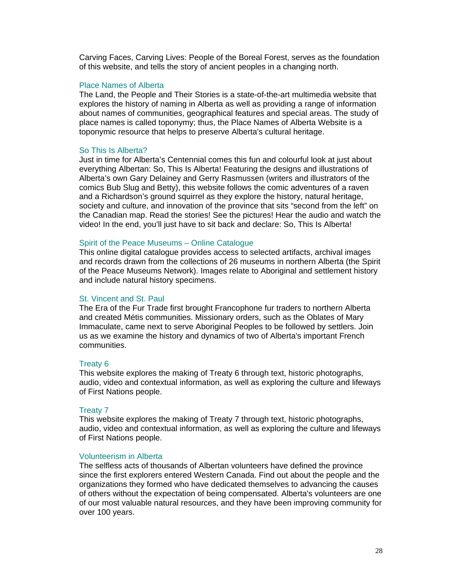Carving Faces, Carving Lives: People of the Boreal Forest, serves as the foundation of this website, and tells the story of ancient peoples in a changing north.

## Place Names of Alberta

The Land, the People and Their Stories is a state-of-the-art multimedia website that explores the history of naming in Alberta as well as providing a range of information about names of communities, geographical features and special areas. The study of place names is called toponymy; thus, the Place Names of Alberta Website is a toponymic resource that helps to preserve Alberta's cultural heritage.

## So This Is Alberta?

Just in time for Alberta's Centennial comes this fun and colourful look at just about everything Albertan: So, This Is Alberta! Featuring the designs and illustrations of Alberta's own Gary Delainey and Gerry Rasmussen (writers and illustrators of the comics Bub Slug and Betty), this website follows the comic adventures of a raven and a Richardson's ground squirrel as they explore the history, natural heritage, society and culture, and innovation of the province that sits "second from the left" on the Canadian map. Read the stories! See the pictures! Hear the audio and watch the video! In the end, you'll just have to sit back and declare: So, This Is Alberta!

## Spirit of the Peace Museums – Online Catalogue

This online digital catalogue provides access to selected artifacts, archival images and records drawn from the collections of 26 museums in northern Alberta (the Spirit of the Peace Museums Network). Images relate to Aboriginal and settlement history and include natural history specimens.

## St. Vincent and St. Paul

The Era of the Fur Trade first brought Francophone fur traders to northern Alberta and created Métis communities. Missionary orders, such as the Oblates of Mary Immaculate, came next to serve Aboriginal Peoples to be followed by settlers. Join us as we examine the history and dynamics of two of Alberta's important French communities.

#### Treaty 6

This website explores the making of Treaty 6 through text, historic photographs, audio, video and contextual information, as well as exploring the culture and lifeways of First Nations people.

#### Treaty 7

This website explores the making of Treaty 7 through text, historic photographs, audio, video and contextual information, as well as exploring the culture and lifeways of First Nations people.

#### Volunteerism in Alberta

The selfless acts of thousands of Albertan volunteers have defined the province since the first explorers entered Western Canada. Find out about the people and the organizations they formed who have dedicated themselves to advancing the causes of others without the expectation of being compensated. Alberta's volunteers are one of our most valuable natural resources, and they have been improving community for over 100 years.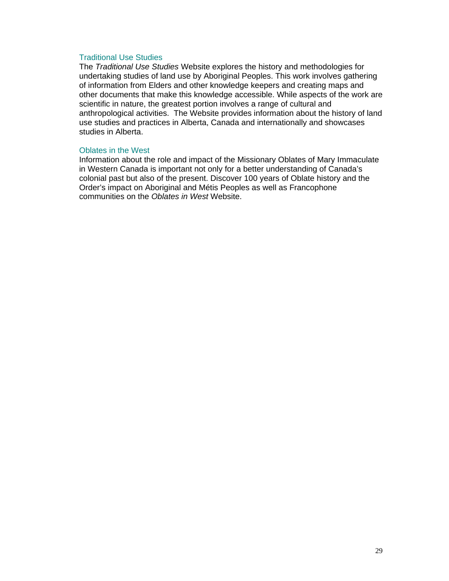## Traditional Use Studies

The *Traditional Use Studies* Website explores the history and methodologies for undertaking studies of land use by Aboriginal Peoples. This work involves gathering of information from Elders and other knowledge keepers and creating maps and other documents that make this knowledge accessible. While aspects of the work are scientific in nature, the greatest portion involves a range of cultural and anthropological activities. The Website provides information about the history of land use studies and practices in Alberta, Canada and internationally and showcases studies in Alberta.

## Oblates in the West

Information about the role and impact of the Missionary Oblates of Mary Immaculate in Western Canada is important not only for a better understanding of Canada's colonial past but also of the present. Discover 100 years of Oblate history and the Order's impact on Aboriginal and Métis Peoples as well as Francophone communities on the *Oblates in West* Website.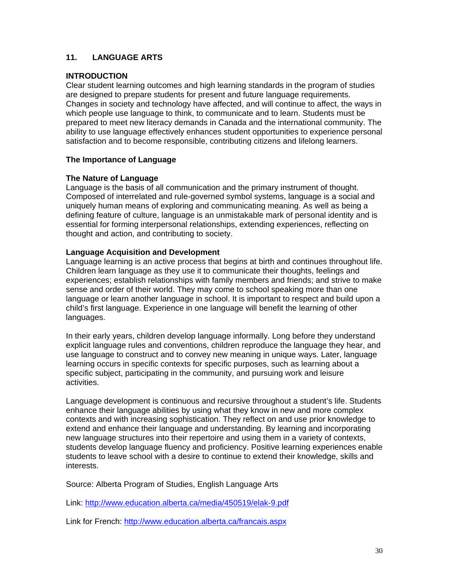## **11. LANGUAGE ARTS**

## **INTRODUCTION**

Clear student learning outcomes and high learning standards in the program of studies are designed to prepare students for present and future language requirements. Changes in society and technology have affected, and will continue to affect, the ways in which people use language to think, to communicate and to learn. Students must be prepared to meet new literacy demands in Canada and the international community. The ability to use language effectively enhances student opportunities to experience personal satisfaction and to become responsible, contributing citizens and lifelong learners.

## **The Importance of Language**

## **The Nature of Language**

Language is the basis of all communication and the primary instrument of thought. Composed of interrelated and rule-governed symbol systems, language is a social and uniquely human means of exploring and communicating meaning. As well as being a defining feature of culture, language is an unmistakable mark of personal identity and is essential for forming interpersonal relationships, extending experiences, reflecting on thought and action, and contributing to society.

## **Language Acquisition and Development**

Language learning is an active process that begins at birth and continues throughout life. Children learn language as they use it to communicate their thoughts, feelings and experiences; establish relationships with family members and friends; and strive to make sense and order of their world. They may come to school speaking more than one language or learn another language in school. It is important to respect and build upon a child's first language. Experience in one language will benefit the learning of other languages.

In their early years, children develop language informally. Long before they understand explicit language rules and conventions, children reproduce the language they hear, and use language to construct and to convey new meaning in unique ways. Later, language learning occurs in specific contexts for specific purposes, such as learning about a specific subject, participating in the community, and pursuing work and leisure activities.

Language development is continuous and recursive throughout a student's life. Students enhance their language abilities by using what they know in new and more complex contexts and with increasing sophistication. They reflect on and use prior knowledge to extend and enhance their language and understanding. By learning and incorporating new language structures into their repertoire and using them in a variety of contexts, students develop language fluency and proficiency. Positive learning experiences enable students to leave school with a desire to continue to extend their knowledge, skills and interests.

Source: Alberta Program of Studies, English Language Arts

Link: http://www.education.alberta.ca/media/450519/elak-9.pdf

Link for French: http://www.education.alberta.ca/francais.aspx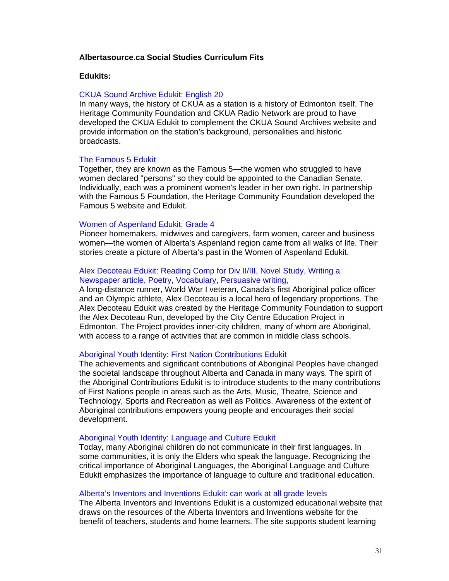## **Albertasource.ca Social Studies Curriculum Fits**

#### **Edukits:**

## CKUA Sound Archive Edukit: English 20

In many ways, the history of CKUA as a station is a history of Edmonton itself. The Heritage Community Foundation and CKUA Radio Network are proud to have developed the CKUA Edukit to complement the CKUA Sound Archives website and provide information on the station's background, personalities and historic broadcasts.

## The Famous 5 Edukit

Together, they are known as the Famous 5—the women who struggled to have women declared "persons" so they could be appointed to the Canadian Senate. Individually, each was a prominent women's leader in her own right. In partnership with the Famous 5 Foundation, the Heritage Community Foundation developed the Famous 5 website and Edukit.

#### Women of Aspenland Edukit: Grade 4

Pioneer homemakers, midwives and caregivers, farm women, career and business women—the women of Alberta's Aspenland region came from all walks of life. Their stories create a picture of Alberta's past in the Women of Aspenland Edukit.

## Alex Decoteau Edukit: Reading Comp for Div II/III, Novel Study, Writing a Newspaper article, Poetry, Vocabulary, Persuasive writing,

A long-distance runner, World War I veteran, Canada's first Aboriginal police officer and an Olympic athlete, Alex Decoteau is a local hero of legendary proportions. The Alex Decoteau Edukit was created by the Heritage Community Foundation to support the Alex Decoteau Run, developed by the City Centre Education Project in Edmonton. The Project provides inner-city children, many of whom are Aboriginal, with access to a range of activities that are common in middle class schools.

## Aboriginal Youth Identity: First Nation Contributions Edukit

The achievements and significant contributions of Aboriginal Peoples have changed the societal landscape throughout Alberta and Canada in many ways. The spirit of the Aboriginal Contributions Edukit is to introduce students to the many contributions of First Nations people in areas such as the Arts, Music, Theatre, Science and Technology, Sports and Recreation as well as Politics. Awareness of the extent of Aboriginal contributions empowers young people and encourages their social development.

#### Aboriginal Youth Identity: Language and Culture Edukit

Today, many Aboriginal children do not communicate in their first languages. In some communities, it is only the Elders who speak the language. Recognizing the critical importance of Aboriginal Languages, the Aboriginal Language and Culture Edukit emphasizes the importance of language to culture and traditional education.

## Alberta's Inventors and Inventions Edukit: can work at all grade levels

The Alberta Inventors and Inventions Edukit is a customized educational website that draws on the resources of the Alberta Inventors and Inventions website for the benefit of teachers, students and home learners. The site supports student learning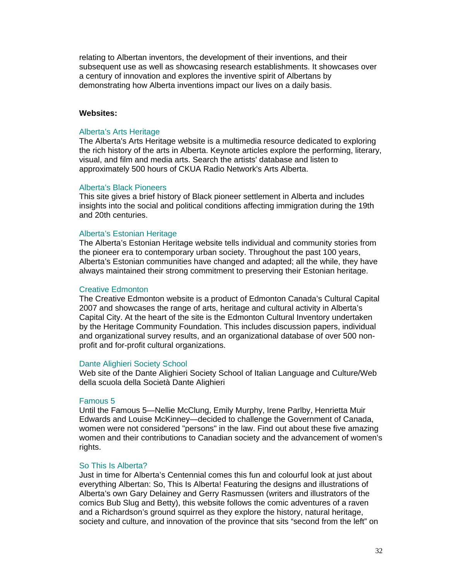relating to Albertan inventors, the development of their inventions, and their subsequent use as well as showcasing research establishments. It showcases over a century of innovation and explores the inventive spirit of Albertans by demonstrating how Alberta inventions impact our lives on a daily basis.

## **Websites:**

#### Alberta's Arts Heritage

The Alberta's Arts Heritage website is a multimedia resource dedicated to exploring the rich history of the arts in Alberta. Keynote articles explore the performing, literary, visual, and film and media arts. Search the artists' database and listen to approximately 500 hours of CKUA Radio Network's Arts Alberta.

#### Alberta's Black Pioneers

This site gives a brief history of Black pioneer settlement in Alberta and includes insights into the social and political conditions affecting immigration during the 19th and 20th centuries.

#### Alberta's Estonian Heritage

The Alberta's Estonian Heritage website tells individual and community stories from the pioneer era to contemporary urban society. Throughout the past 100 years, Alberta's Estonian communities have changed and adapted; all the while, they have always maintained their strong commitment to preserving their Estonian heritage.

#### Creative Edmonton

The Creative Edmonton website is a product of Edmonton Canada's Cultural Capital 2007 and showcases the range of arts, heritage and cultural activity in Alberta's Capital City. At the heart of the site is the Edmonton Cultural Inventory undertaken by the Heritage Community Foundation. This includes discussion papers, individual and organizational survey results, and an organizational database of over 500 nonprofit and for-profit cultural organizations.

#### Dante Alighieri Society School

Web site of the Dante Alighieri Society School of Italian Language and Culture/Web della scuola della Società Dante Alighieri

#### Famous 5

Until the Famous 5—Nellie McClung, Emily Murphy, Irene Parlby, Henrietta Muir Edwards and Louise McKinney—decided to challenge the Government of Canada, women were not considered "persons" in the law. Find out about these five amazing women and their contributions to Canadian society and the advancement of women's rights.

#### So This Is Alberta?

Just in time for Alberta's Centennial comes this fun and colourful look at just about everything Albertan: So, This Is Alberta! Featuring the designs and illustrations of Alberta's own Gary Delainey and Gerry Rasmussen (writers and illustrators of the comics Bub Slug and Betty), this website follows the comic adventures of a raven and a Richardson's ground squirrel as they explore the history, natural heritage, society and culture, and innovation of the province that sits "second from the left" on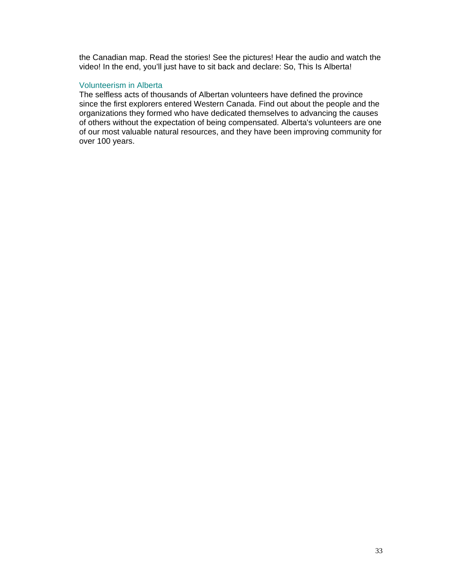the Canadian map. Read the stories! See the pictures! Hear the audio and watch the video! In the end, you'll just have to sit back and declare: So, This Is Alberta!

## Volunteerism in Alberta

The selfless acts of thousands of Albertan volunteers have defined the province since the first explorers entered Western Canada. Find out about the people and the organizations they formed who have dedicated themselves to advancing the causes of others without the expectation of being compensated. Alberta's volunteers are one of our most valuable natural resources, and they have been improving community for over 100 years.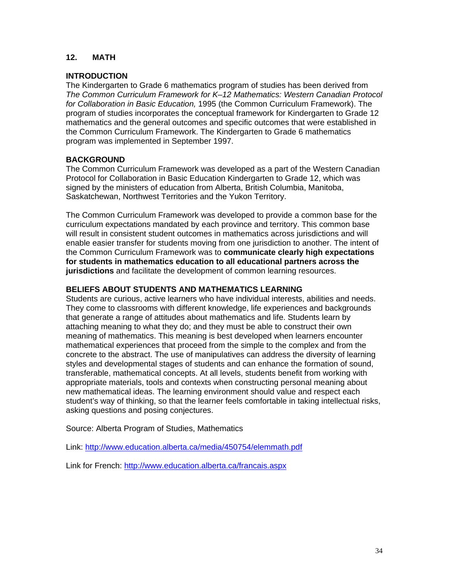## **12. MATH**

## **INTRODUCTION**

The Kindergarten to Grade 6 mathematics program of studies has been derived from *The Common Curriculum Framework for K–12 Mathematics: Western Canadian Protocol for Collaboration in Basic Education,* 1995 (the Common Curriculum Framework). The program of studies incorporates the conceptual framework for Kindergarten to Grade 12 mathematics and the general outcomes and specific outcomes that were established in the Common Curriculum Framework. The Kindergarten to Grade 6 mathematics program was implemented in September 1997.

## **BACKGROUND**

The Common Curriculum Framework was developed as a part of the Western Canadian Protocol for Collaboration in Basic Education Kindergarten to Grade 12, which was signed by the ministers of education from Alberta, British Columbia, Manitoba, Saskatchewan, Northwest Territories and the Yukon Territory.

The Common Curriculum Framework was developed to provide a common base for the curriculum expectations mandated by each province and territory. This common base will result in consistent student outcomes in mathematics across jurisdictions and will enable easier transfer for students moving from one jurisdiction to another. The intent of the Common Curriculum Framework was to **communicate clearly high expectations for students in mathematics education to all educational partners across the jurisdictions** and facilitate the development of common learning resources.

## **BELIEFS ABOUT STUDENTS AND MATHEMATICS LEARNING**

Students are curious, active learners who have individual interests, abilities and needs. They come to classrooms with different knowledge, life experiences and backgrounds that generate a range of attitudes about mathematics and life. Students learn by attaching meaning to what they do; and they must be able to construct their own meaning of mathematics. This meaning is best developed when learners encounter mathematical experiences that proceed from the simple to the complex and from the concrete to the abstract. The use of manipulatives can address the diversity of learning styles and developmental stages of students and can enhance the formation of sound, transferable, mathematical concepts. At all levels, students benefit from working with appropriate materials, tools and contexts when constructing personal meaning about new mathematical ideas. The learning environment should value and respect each student's way of thinking, so that the learner feels comfortable in taking intellectual risks, asking questions and posing conjectures.

Source: Alberta Program of Studies, Mathematics

Link: http://www.education.alberta.ca/media/450754/elemmath.pdf

Link for French: http://www.education.alberta.ca/francais.aspx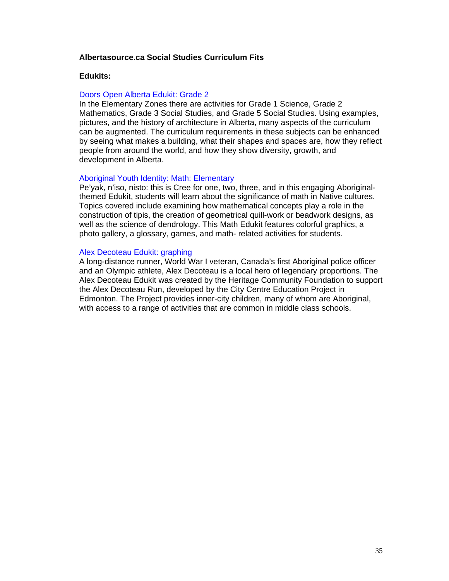## **Albertasource.ca Social Studies Curriculum Fits**

## **Edukits:**

## Doors Open Alberta Edukit: Grade 2

In the Elementary Zones there are activities for Grade 1 Science, Grade 2 Mathematics, Grade 3 Social Studies, and Grade 5 Social Studies. Using examples, pictures, and the history of architecture in Alberta, many aspects of the curriculum can be augmented. The curriculum requirements in these subjects can be enhanced by seeing what makes a building, what their shapes and spaces are, how they reflect people from around the world, and how they show diversity, growth, and development in Alberta.

## Aboriginal Youth Identity: Math: Elementary

Pe'yak, n'iso, nisto: this is Cree for one, two, three, and in this engaging Aboriginalthemed Edukit, students will learn about the significance of math in Native cultures. Topics covered include examining how mathematical concepts play a role in the construction of tipis, the creation of geometrical quill-work or beadwork designs, as well as the science of dendrology. This Math Edukit features colorful graphics, a photo gallery, a glossary, games, and math- related activities for students.

## Alex Decoteau Edukit: graphing

A long-distance runner, World War I veteran, Canada's first Aboriginal police officer and an Olympic athlete, Alex Decoteau is a local hero of legendary proportions. The Alex Decoteau Edukit was created by the Heritage Community Foundation to support the Alex Decoteau Run, developed by the City Centre Education Project in Edmonton. The Project provides inner-city children, many of whom are Aboriginal, with access to a range of activities that are common in middle class schools.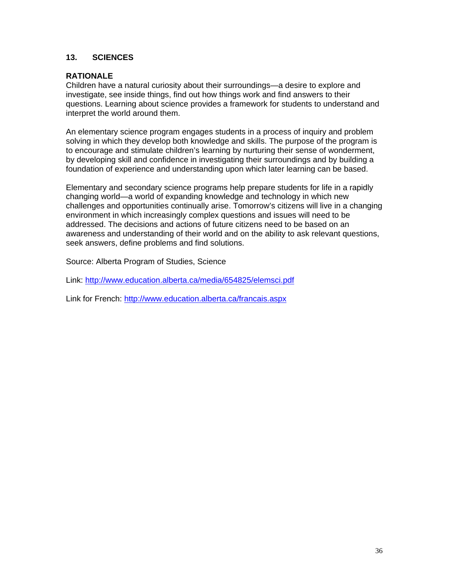## **13. SCIENCES**

## **RATIONALE**

Children have a natural curiosity about their surroundings—a desire to explore and investigate, see inside things, find out how things work and find answers to their questions. Learning about science provides a framework for students to understand and interpret the world around them.

An elementary science program engages students in a process of inquiry and problem solving in which they develop both knowledge and skills. The purpose of the program is to encourage and stimulate children's learning by nurturing their sense of wonderment, by developing skill and confidence in investigating their surroundings and by building a foundation of experience and understanding upon which later learning can be based.

Elementary and secondary science programs help prepare students for life in a rapidly changing world—a world of expanding knowledge and technology in which new challenges and opportunities continually arise. Tomorrow's citizens will live in a changing environment in which increasingly complex questions and issues will need to be addressed. The decisions and actions of future citizens need to be based on an awareness and understanding of their world and on the ability to ask relevant questions, seek answers, define problems and find solutions.

Source: Alberta Program of Studies, Science

Link: http://www.education.alberta.ca/media/654825/elemsci.pdf

Link for French: http://www.education.alberta.ca/francais.aspx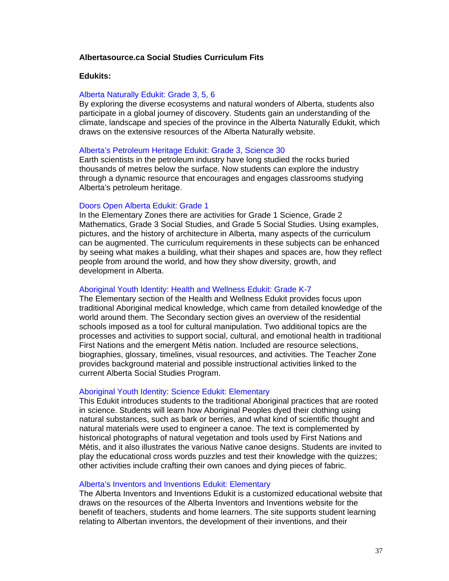## **Albertasource.ca Social Studies Curriculum Fits**

#### **Edukits:**

## Alberta Naturally Edukit: Grade 3, 5, 6

By exploring the diverse ecosystems and natural wonders of Alberta, students also participate in a global journey of discovery. Students gain an understanding of the climate, landscape and species of the province in the Alberta Naturally Edukit, which draws on the extensive resources of the Alberta Naturally website.

#### Alberta's Petroleum Heritage Edukit: Grade 3, Science 30

Earth scientists in the petroleum industry have long studied the rocks buried thousands of metres below the surface. Now students can explore the industry through a dynamic resource that encourages and engages classrooms studying Alberta's petroleum heritage.

## Doors Open Alberta Edukit: Grade 1

In the Elementary Zones there are activities for Grade 1 Science, Grade 2 Mathematics, Grade 3 Social Studies, and Grade 5 Social Studies. Using examples, pictures, and the history of architecture in Alberta, many aspects of the curriculum can be augmented. The curriculum requirements in these subjects can be enhanced by seeing what makes a building, what their shapes and spaces are, how they reflect people from around the world, and how they show diversity, growth, and development in Alberta.

## Aboriginal Youth Identity: Health and Wellness Edukit: Grade K-7

The Elementary section of the Health and Wellness Edukit provides focus upon traditional Aboriginal medical knowledge, which came from detailed knowledge of the world around them. The Secondary section gives an overview of the residential schools imposed as a tool for cultural manipulation. Two additional topics are the processes and activities to support social, cultural, and emotional health in traditional First Nations and the emergent Métis nation. Included are resource selections, biographies, glossary, timelines, visual resources, and activities. The Teacher Zone provides background material and possible instructional activities linked to the current Alberta Social Studies Program.

## Aboriginal Youth Identity: Science Edukit: Elementary

This Edukit introduces students to the traditional Aboriginal practices that are rooted in science. Students will learn how Aboriginal Peoples dyed their clothing using natural substances, such as bark or berries, and what kind of scientific thought and natural materials were used to engineer a canoe. The text is complemented by historical photographs of natural vegetation and tools used by First Nations and Métis, and it also illustrates the various Native canoe designs. Students are invited to play the educational cross words puzzles and test their knowledge with the quizzes; other activities include crafting their own canoes and dying pieces of fabric.

## Alberta's Inventors and Inventions Edukit: Elementary

The Alberta Inventors and Inventions Edukit is a customized educational website that draws on the resources of the Alberta Inventors and Inventions website for the benefit of teachers, students and home learners. The site supports student learning relating to Albertan inventors, the development of their inventions, and their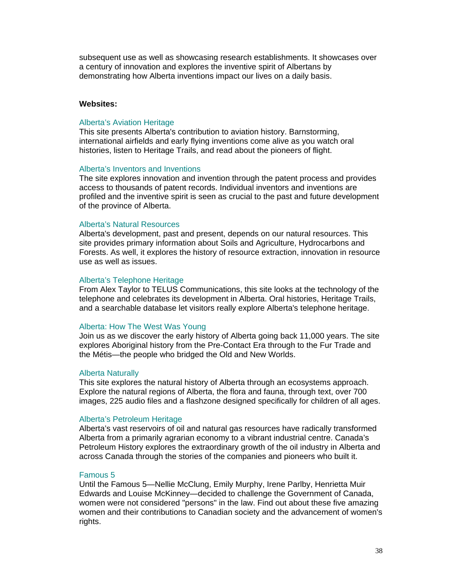subsequent use as well as showcasing research establishments. It showcases over a century of innovation and explores the inventive spirit of Albertans by demonstrating how Alberta inventions impact our lives on a daily basis.

## **Websites:**

#### Alberta's Aviation Heritage

This site presents Alberta's contribution to aviation history. Barnstorming, international airfields and early flying inventions come alive as you watch oral histories, listen to Heritage Trails, and read about the pioneers of flight.

#### Alberta's Inventors and Inventions

The site explores innovation and invention through the patent process and provides access to thousands of patent records. Individual inventors and inventions are profiled and the inventive spirit is seen as crucial to the past and future development of the province of Alberta.

## Alberta's Natural Resources

Alberta's development, past and present, depends on our natural resources. This site provides primary information about Soils and Agriculture, Hydrocarbons and Forests. As well, it explores the history of resource extraction, innovation in resource use as well as issues.

#### Alberta's Telephone Heritage

From Alex Taylor to TELUS Communications, this site looks at the technology of the telephone and celebrates its development in Alberta. Oral histories, Heritage Trails, and a searchable database let visitors really explore Alberta's telephone heritage.

## Alberta: How The West Was Young

Join us as we discover the early history of Alberta going back 11,000 years. The site explores Aboriginal history from the Pre-Contact Era through to the Fur Trade and the Métis—the people who bridged the Old and New Worlds.

#### Alberta Naturally

This site explores the natural history of Alberta through an ecosystems approach. Explore the natural regions of Alberta, the flora and fauna, through text, over 700 images, 225 audio files and a flashzone designed specifically for children of all ages.

## Alberta's Petroleum Heritage

Alberta's vast reservoirs of oil and natural gas resources have radically transformed Alberta from a primarily agrarian economy to a vibrant industrial centre. Canada's Petroleum History explores the extraordinary growth of the oil industry in Alberta and across Canada through the stories of the companies and pioneers who built it.

#### Famous 5

Until the Famous 5—Nellie McClung, Emily Murphy, Irene Parlby, Henrietta Muir Edwards and Louise McKinney—decided to challenge the Government of Canada, women were not considered "persons" in the law. Find out about these five amazing women and their contributions to Canadian society and the advancement of women's rights.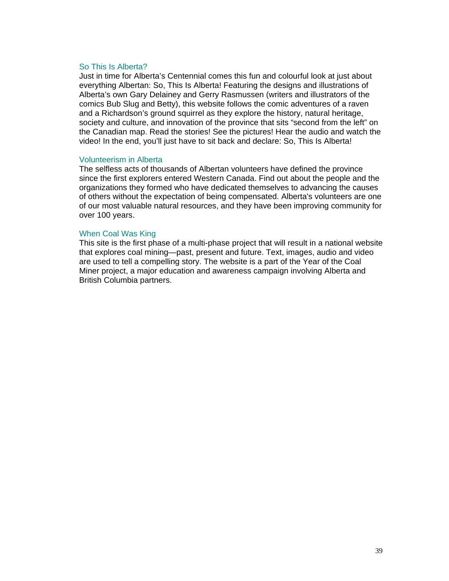## So This Is Alberta?

Just in time for Alberta's Centennial comes this fun and colourful look at just about everything Albertan: So, This Is Alberta! Featuring the designs and illustrations of Alberta's own Gary Delainey and Gerry Rasmussen (writers and illustrators of the comics Bub Slug and Betty), this website follows the comic adventures of a raven and a Richardson's ground squirrel as they explore the history, natural heritage, society and culture, and innovation of the province that sits "second from the left" on the Canadian map. Read the stories! See the pictures! Hear the audio and watch the video! In the end, you'll just have to sit back and declare: So, This Is Alberta!

## Volunteerism in Alberta

The selfless acts of thousands of Albertan volunteers have defined the province since the first explorers entered Western Canada. Find out about the people and the organizations they formed who have dedicated themselves to advancing the causes of others without the expectation of being compensated. Alberta's volunteers are one of our most valuable natural resources, and they have been improving community for over 100 years.

## When Coal Was King

This site is the first phase of a multi-phase project that will result in a national website that explores coal mining—past, present and future. Text, images, audio and video are used to tell a compelling story. The website is a part of the Year of the Coal Miner project, a major education and awareness campaign involving Alberta and British Columbia partners.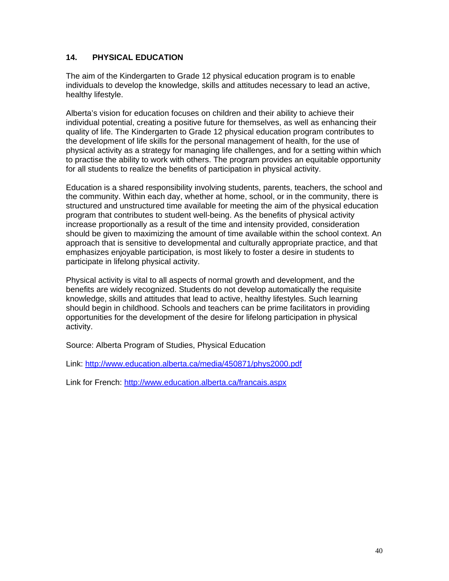## **14. PHYSICAL EDUCATION**

The aim of the Kindergarten to Grade 12 physical education program is to enable individuals to develop the knowledge, skills and attitudes necessary to lead an active, healthy lifestyle.

Alberta's vision for education focuses on children and their ability to achieve their individual potential, creating a positive future for themselves, as well as enhancing their quality of life. The Kindergarten to Grade 12 physical education program contributes to the development of life skills for the personal management of health, for the use of physical activity as a strategy for managing life challenges, and for a setting within which to practise the ability to work with others. The program provides an equitable opportunity for all students to realize the benefits of participation in physical activity.

Education is a shared responsibility involving students, parents, teachers, the school and the community. Within each day, whether at home, school, or in the community, there is structured and unstructured time available for meeting the aim of the physical education program that contributes to student well-being. As the benefits of physical activity increase proportionally as a result of the time and intensity provided, consideration should be given to maximizing the amount of time available within the school context. An approach that is sensitive to developmental and culturally appropriate practice, and that emphasizes enjoyable participation, is most likely to foster a desire in students to participate in lifelong physical activity.

Physical activity is vital to all aspects of normal growth and development, and the benefits are widely recognized. Students do not develop automatically the requisite knowledge, skills and attitudes that lead to active, healthy lifestyles. Such learning should begin in childhood. Schools and teachers can be prime facilitators in providing opportunities for the development of the desire for lifelong participation in physical activity.

Source: Alberta Program of Studies, Physical Education

Link: http://www.education.alberta.ca/media/450871/phys2000.pdf

Link for French: http://www.education.alberta.ca/francais.aspx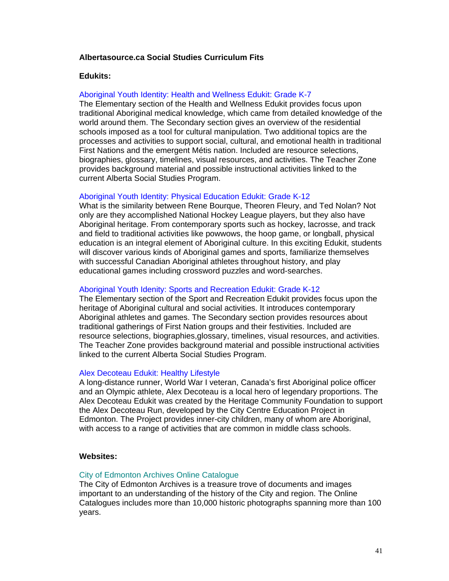## **Albertasource.ca Social Studies Curriculum Fits**

## **Edukits:**

## Aboriginal Youth Identity: Health and Wellness Edukit: Grade K-7

The Elementary section of the Health and Wellness Edukit provides focus upon traditional Aboriginal medical knowledge, which came from detailed knowledge of the world around them. The Secondary section gives an overview of the residential schools imposed as a tool for cultural manipulation. Two additional topics are the processes and activities to support social, cultural, and emotional health in traditional First Nations and the emergent Métis nation. Included are resource selections, biographies, glossary, timelines, visual resources, and activities. The Teacher Zone provides background material and possible instructional activities linked to the current Alberta Social Studies Program.

#### Aboriginal Youth Identity: Physical Education Edukit: Grade K-12

What is the similarity between Rene Bourque, Theoren Fleury, and Ted Nolan? Not only are they accomplished National Hockey League players, but they also have Aboriginal heritage. From contemporary sports such as hockey, lacrosse, and track and field to traditional activities like powwows, the hoop game, or longball, physical education is an integral element of Aboriginal culture. In this exciting Edukit, students will discover various kinds of Aboriginal games and sports, familiarize themselves with successful Canadian Aboriginal athletes throughout history, and play educational games including crossword puzzles and word-searches.

#### Aboriginal Youth Idenity: Sports and Recreation Edukit: Grade K-12

The Elementary section of the Sport and Recreation Edukit provides focus upon the heritage of Aboriginal cultural and social activities. It introduces contemporary Aboriginal athletes and games. The Secondary section provides resources about traditional gatherings of First Nation groups and their festivities. Included are resource selections, biographies,glossary, timelines, visual resources, and activities. The Teacher Zone provides background material and possible instructional activities linked to the current Alberta Social Studies Program.

#### Alex Decoteau Edukit: Healthy Lifestyle

A long-distance runner, World War I veteran, Canada's first Aboriginal police officer and an Olympic athlete, Alex Decoteau is a local hero of legendary proportions. The Alex Decoteau Edukit was created by the Heritage Community Foundation to support the Alex Decoteau Run, developed by the City Centre Education Project in Edmonton. The Project provides inner-city children, many of whom are Aboriginal, with access to a range of activities that are common in middle class schools.

#### **Websites:**

#### City of Edmonton Archives Online Catalogue

The City of Edmonton Archives is a treasure trove of documents and images important to an understanding of the history of the City and region. The Online Catalogues includes more than 10,000 historic photographs spanning more than 100 years.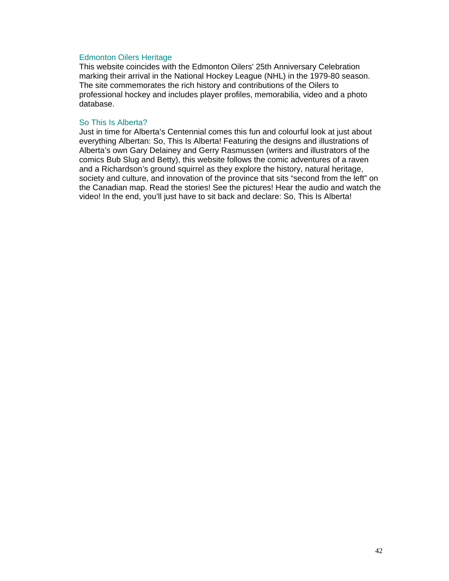## Edmonton Oilers Heritage

This website coincides with the Edmonton Oilers' 25th Anniversary Celebration marking their arrival in the National Hockey League (NHL) in the 1979-80 season. The site commemorates the rich history and contributions of the Oilers to professional hockey and includes player profiles, memorabilia, video and a photo database.

## So This Is Alberta?

Just in time for Alberta's Centennial comes this fun and colourful look at just about everything Albertan: So, This Is Alberta! Featuring the designs and illustrations of Alberta's own Gary Delainey and Gerry Rasmussen (writers and illustrators of the comics Bub Slug and Betty), this website follows the comic adventures of a raven and a Richardson's ground squirrel as they explore the history, natural heritage, society and culture, and innovation of the province that sits "second from the left" on the Canadian map. Read the stories! See the pictures! Hear the audio and watch the video! In the end, you'll just have to sit back and declare: So, This Is Alberta!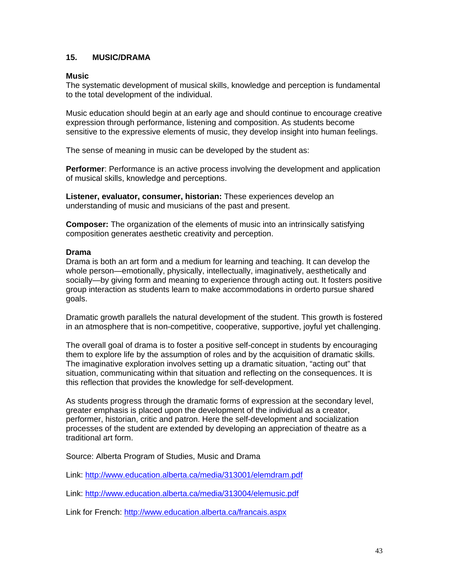## **15. MUSIC/DRAMA**

## **Music**

The systematic development of musical skills, knowledge and perception is fundamental to the total development of the individual.

Music education should begin at an early age and should continue to encourage creative expression through performance, listening and composition. As students become sensitive to the expressive elements of music, they develop insight into human feelings.

The sense of meaning in music can be developed by the student as:

**Performer:** Performance is an active process involving the development and application of musical skills, knowledge and perceptions.

**Listener, evaluator, consumer, historian:** These experiences develop an understanding of music and musicians of the past and present.

**Composer:** The organization of the elements of music into an intrinsically satisfying composition generates aesthetic creativity and perception.

## **Drama**

Drama is both an art form and a medium for learning and teaching. It can develop the whole person—emotionally, physically, intellectually, imaginatively, aesthetically and socially—by giving form and meaning to experience through acting out. It fosters positive group interaction as students learn to make accommodations in orderto pursue shared goals.

Dramatic growth parallels the natural development of the student. This growth is fostered in an atmosphere that is non-competitive, cooperative, supportive, joyful yet challenging.

The overall goal of drama is to foster a positive self-concept in students by encouraging them to explore life by the assumption of roles and by the acquisition of dramatic skills. The imaginative exploration involves setting up a dramatic situation, "acting out" that situation, communicating within that situation and reflecting on the consequences. It is this reflection that provides the knowledge for self-development.

As students progress through the dramatic forms of expression at the secondary level, greater emphasis is placed upon the development of the individual as a creator, performer, historian, critic and patron. Here the self-development and socialization processes of the student are extended by developing an appreciation of theatre as a traditional art form.

Source: Alberta Program of Studies, Music and Drama

Link: http://www.education.alberta.ca/media/313001/elemdram.pdf

Link: http://www.education.alberta.ca/media/313004/elemusic.pdf

Link for French: http://www.education.alberta.ca/francais.aspx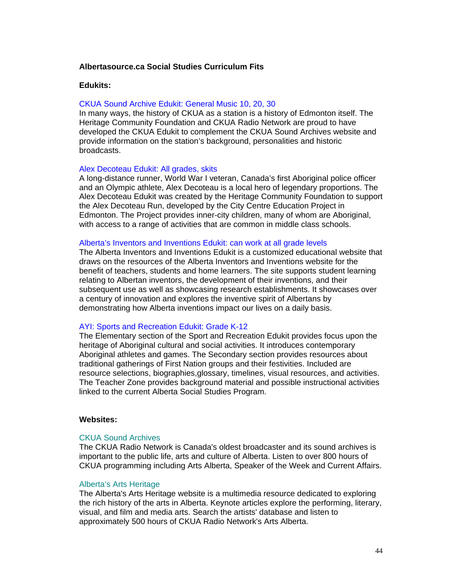## **Albertasource.ca Social Studies Curriculum Fits**

## **Edukits:**

#### CKUA Sound Archive Edukit: General Music 10, 20, 30

In many ways, the history of CKUA as a station is a history of Edmonton itself. The Heritage Community Foundation and CKUA Radio Network are proud to have developed the CKUA Edukit to complement the CKUA Sound Archives website and provide information on the station's background, personalities and historic broadcasts.

## Alex Decoteau Edukit: All grades, skits

A long-distance runner, World War I veteran, Canada's first Aboriginal police officer and an Olympic athlete, Alex Decoteau is a local hero of legendary proportions. The Alex Decoteau Edukit was created by the Heritage Community Foundation to support the Alex Decoteau Run, developed by the City Centre Education Project in Edmonton. The Project provides inner-city children, many of whom are Aboriginal, with access to a range of activities that are common in middle class schools.

#### Alberta's Inventors and Inventions Edukit: can work at all grade levels

The Alberta Inventors and Inventions Edukit is a customized educational website that draws on the resources of the Alberta Inventors and Inventions website for the benefit of teachers, students and home learners. The site supports student learning relating to Albertan inventors, the development of their inventions, and their subsequent use as well as showcasing research establishments. It showcases over a century of innovation and explores the inventive spirit of Albertans by demonstrating how Alberta inventions impact our lives on a daily basis.

## AYI: Sports and Recreation Edukit: Grade K-12

The Elementary section of the Sport and Recreation Edukit provides focus upon the heritage of Aboriginal cultural and social activities. It introduces contemporary Aboriginal athletes and games. The Secondary section provides resources about traditional gatherings of First Nation groups and their festivities. Included are resource selections, biographies,glossary, timelines, visual resources, and activities. The Teacher Zone provides background material and possible instructional activities linked to the current Alberta Social Studies Program.

## **Websites:**

#### CKUA Sound Archives

The CKUA Radio Network is Canada's oldest broadcaster and its sound archives is important to the public life, arts and culture of Alberta. Listen to over 800 hours of CKUA programming including Arts Alberta, Speaker of the Week and Current Affairs.

## Alberta's Arts Heritage

The Alberta's Arts Heritage website is a multimedia resource dedicated to exploring the rich history of the arts in Alberta. Keynote articles explore the performing, literary, visual, and film and media arts. Search the artists' database and listen to approximately 500 hours of CKUA Radio Network's Arts Alberta.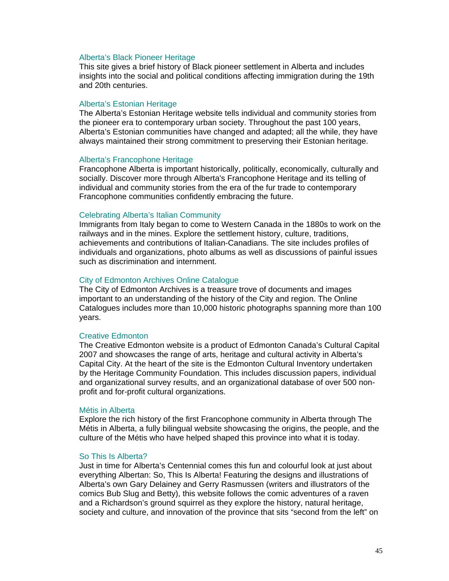## Alberta's Black Pioneer Heritage

This site gives a brief history of Black pioneer settlement in Alberta and includes insights into the social and political conditions affecting immigration during the 19th and 20th centuries.

## Alberta's Estonian Heritage

The Alberta's Estonian Heritage website tells individual and community stories from the pioneer era to contemporary urban society. Throughout the past 100 years, Alberta's Estonian communities have changed and adapted; all the while, they have always maintained their strong commitment to preserving their Estonian heritage.

#### Alberta's Francophone Heritage

Francophone Alberta is important historically, politically, economically, culturally and socially. Discover more through Alberta's Francophone Heritage and its telling of individual and community stories from the era of the fur trade to contemporary Francophone communities confidently embracing the future.

#### Celebrating Alberta's Italian Community

Immigrants from Italy began to come to Western Canada in the 1880s to work on the railways and in the mines. Explore the settlement history, culture, traditions, achievements and contributions of Italian-Canadians. The site includes profiles of individuals and organizations, photo albums as well as discussions of painful issues such as discrimination and internment.

## City of Edmonton Archives Online Catalogue

The City of Edmonton Archives is a treasure trove of documents and images important to an understanding of the history of the City and region. The Online Catalogues includes more than 10,000 historic photographs spanning more than 100 years.

#### Creative Edmonton

The Creative Edmonton website is a product of Edmonton Canada's Cultural Capital 2007 and showcases the range of arts, heritage and cultural activity in Alberta's Capital City. At the heart of the site is the Edmonton Cultural Inventory undertaken by the Heritage Community Foundation. This includes discussion papers, individual and organizational survey results, and an organizational database of over 500 nonprofit and for-profit cultural organizations.

#### Métis in Alberta

Explore the rich history of the first Francophone community in Alberta through The Métis in Alberta, a fully bilingual website showcasing the origins, the people, and the culture of the Métis who have helped shaped this province into what it is today.

#### So This Is Alberta?

Just in time for Alberta's Centennial comes this fun and colourful look at just about everything Albertan: So, This Is Alberta! Featuring the designs and illustrations of Alberta's own Gary Delainey and Gerry Rasmussen (writers and illustrators of the comics Bub Slug and Betty), this website follows the comic adventures of a raven and a Richardson's ground squirrel as they explore the history, natural heritage, society and culture, and innovation of the province that sits "second from the left" on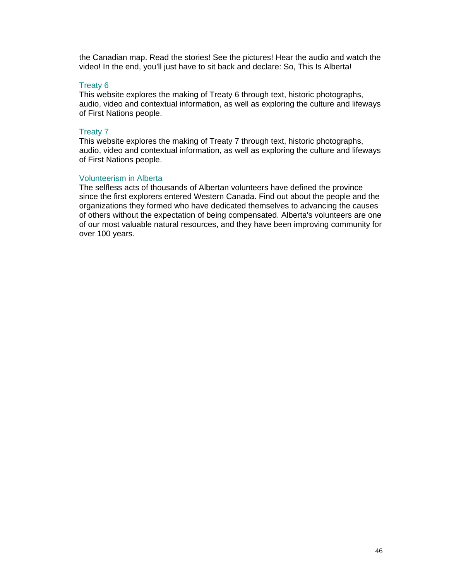the Canadian map. Read the stories! See the pictures! Hear the audio and watch the video! In the end, you'll just have to sit back and declare: So, This Is Alberta!

## Treaty 6

This website explores the making of Treaty 6 through text, historic photographs, audio, video and contextual information, as well as exploring the culture and lifeways of First Nations people.

## Treaty 7

This website explores the making of Treaty 7 through text, historic photographs, audio, video and contextual information, as well as exploring the culture and lifeways of First Nations people.

## Volunteerism in Alberta

The selfless acts of thousands of Albertan volunteers have defined the province since the first explorers entered Western Canada. Find out about the people and the organizations they formed who have dedicated themselves to advancing the causes of others without the expectation of being compensated. Alberta's volunteers are one of our most valuable natural resources, and they have been improving community for over 100 years.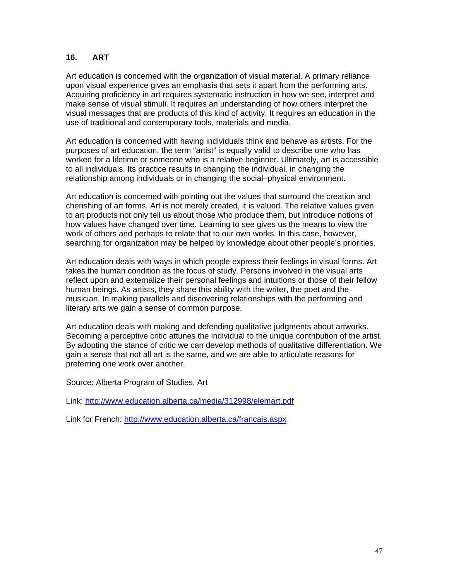## **16. ART**

Art education is concerned with the organization of visual material. A primary reliance upon visual experience gives an emphasis that sets it apart from the performing arts. Acquiring proficiency in art requires systematic instruction in how we see, interpret and make sense of visual stimuli. It requires an understanding of how others interpret the visual messages that are products of this kind of activity. It requires an education in the use of traditional and contemporary tools, materials and media.

Art education is concerned with having individuals think and behave as artists. For the purposes of art education, the term "artist" is equally valid to describe one who has worked for a lifetime or someone who is a relative beginner. Ultimately, art is accessible to all individuals. Its practice results in changing the individual, in changing the relationship among individuals or in changing the social–physical environment.

Art education is concerned with pointing out the values that surround the creation and cherishing of art forms. Art is not merely created, it is valued. The relative values given to art products not only tell us about those who produce them, but introduce notions of how values have changed over time. Learning to see gives us the means to view the work of others and perhaps to relate that to our own works. In this case, however, searching for organization may be helped by knowledge about other people's priorities.

Art education deals with ways in which people express their feelings in visual forms. Art takes the human condition as the focus of study. Persons involved in the visual arts reflect upon and externalize their personal feelings and intuitions or those of their fellow human beings. As artists, they share this ability with the writer, the poet and the musician. In making parallels and discovering relationships with the performing and literary arts we gain a sense of common purpose.

Art education deals with making and defending qualitative judgments about artworks. Becoming a perceptive critic attunes the individual to the unique contribution of the artist. By adopting the stance of critic we can develop methods of qualitative differentiation. We gain a sense that not all art is the same, and we are able to articulate reasons for preferring one work over another.

Source: Alberta Program of Studies, Art

Link: http://www.education.alberta.ca/media/312998/elemart.pdf

Link for French: http://www.education.alberta.ca/francais.aspx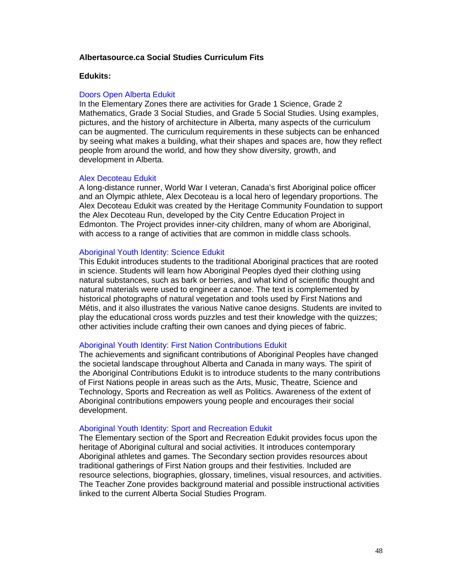## **Albertasource.ca Social Studies Curriculum Fits**

## **Edukits:**

#### Doors Open Alberta Edukit

In the Elementary Zones there are activities for Grade 1 Science, Grade 2 Mathematics, Grade 3 Social Studies, and Grade 5 Social Studies. Using examples, pictures, and the history of architecture in Alberta, many aspects of the curriculum can be augmented. The curriculum requirements in these subjects can be enhanced by seeing what makes a building, what their shapes and spaces are, how they reflect people from around the world, and how they show diversity, growth, and development in Alberta.

#### Alex Decoteau Edukit

A long-distance runner, World War I veteran, Canada's first Aboriginal police officer and an Olympic athlete, Alex Decoteau is a local hero of legendary proportions. The Alex Decoteau Edukit was created by the Heritage Community Foundation to support the Alex Decoteau Run, developed by the City Centre Education Project in Edmonton. The Project provides inner-city children, many of whom are Aboriginal, with access to a range of activities that are common in middle class schools.

## Aboriginal Youth Identity: Science Edukit

This Edukit introduces students to the traditional Aboriginal practices that are rooted in science. Students will learn how Aboriginal Peoples dyed their clothing using natural substances, such as bark or berries, and what kind of scientific thought and natural materials were used to engineer a canoe. The text is complemented by historical photographs of natural vegetation and tools used by First Nations and Métis, and it also illustrates the various Native canoe designs. Students are invited to play the educational cross words puzzles and test their knowledge with the quizzes; other activities include crafting their own canoes and dying pieces of fabric.

## Aboriginal Youth Identity: First Nation Contributions Edukit

The achievements and significant contributions of Aboriginal Peoples have changed the societal landscape throughout Alberta and Canada in many ways. The spirit of the Aboriginal Contributions Edukit is to introduce students to the many contributions of First Nations people in areas such as the Arts, Music, Theatre, Science and Technology, Sports and Recreation as well as Politics. Awareness of the extent of Aboriginal contributions empowers young people and encourages their social development.

#### Aboriginal Youth Identity: Sport and Recreation Edukit

The Elementary section of the Sport and Recreation Edukit provides focus upon the heritage of Aboriginal cultural and social activities. It introduces contemporary Aboriginal athletes and games. The Secondary section provides resources about traditional gatherings of First Nation groups and their festivities. Included are resource selections, biographies, glossary, timelines, visual resources, and activities. The Teacher Zone provides background material and possible instructional activities linked to the current Alberta Social Studies Program.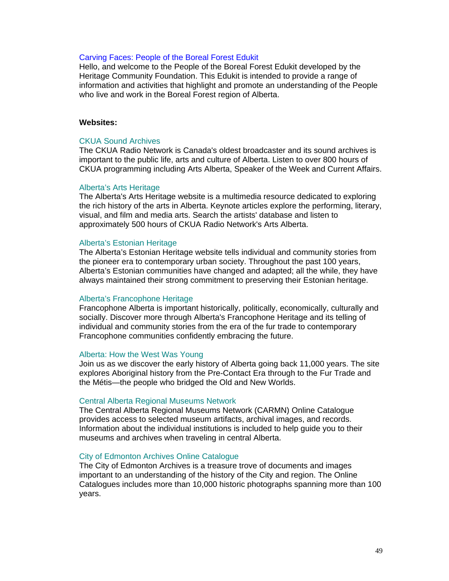## Carving Faces: People of the Boreal Forest Edukit

Hello, and welcome to the People of the Boreal Forest Edukit developed by the Heritage Community Foundation. This Edukit is intended to provide a range of information and activities that highlight and promote an understanding of the People who live and work in the Boreal Forest region of Alberta.

## **Websites:**

## CKUA Sound Archives

The CKUA Radio Network is Canada's oldest broadcaster and its sound archives is important to the public life, arts and culture of Alberta. Listen to over 800 hours of CKUA programming including Arts Alberta, Speaker of the Week and Current Affairs.

#### Alberta's Arts Heritage

The Alberta's Arts Heritage website is a multimedia resource dedicated to exploring the rich history of the arts in Alberta. Keynote articles explore the performing, literary, visual, and film and media arts. Search the artists' database and listen to approximately 500 hours of CKUA Radio Network's Arts Alberta.

#### Alberta's Estonian Heritage

The Alberta's Estonian Heritage website tells individual and community stories from the pioneer era to contemporary urban society. Throughout the past 100 years, Alberta's Estonian communities have changed and adapted; all the while, they have always maintained their strong commitment to preserving their Estonian heritage.

## Alberta's Francophone Heritage

Francophone Alberta is important historically, politically, economically, culturally and socially. Discover more through Alberta's Francophone Heritage and its telling of individual and community stories from the era of the fur trade to contemporary Francophone communities confidently embracing the future.

#### Alberta: How the West Was Young

Join us as we discover the early history of Alberta going back 11,000 years. The site explores Aboriginal history from the Pre-Contact Era through to the Fur Trade and the Métis—the people who bridged the Old and New Worlds.

#### Central Alberta Regional Museums Network

The Central Alberta Regional Museums Network (CARMN) Online Catalogue provides access to selected museum artifacts, archival images, and records. Information about the individual institutions is included to help guide you to their museums and archives when traveling in central Alberta.

#### City of Edmonton Archives Online Catalogue

The City of Edmonton Archives is a treasure trove of documents and images important to an understanding of the history of the City and region. The Online Catalogues includes more than 10,000 historic photographs spanning more than 100 years.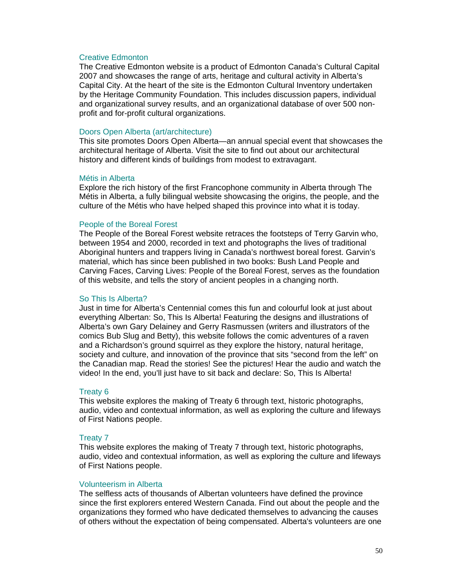#### Creative Edmonton

The Creative Edmonton website is a product of Edmonton Canada's Cultural Capital 2007 and showcases the range of arts, heritage and cultural activity in Alberta's Capital City. At the heart of the site is the Edmonton Cultural Inventory undertaken by the Heritage Community Foundation. This includes discussion papers, individual and organizational survey results, and an organizational database of over 500 nonprofit and for-profit cultural organizations.

## Doors Open Alberta (art/architecture)

This site promotes Doors Open Alberta—an annual special event that showcases the architectural heritage of Alberta. Visit the site to find out about our architectural history and different kinds of buildings from modest to extravagant.

## Métis in Alberta

Explore the rich history of the first Francophone community in Alberta through The Métis in Alberta, a fully bilingual website showcasing the origins, the people, and the culture of the Métis who have helped shaped this province into what it is today.

## People of the Boreal Forest

The People of the Boreal Forest website retraces the footsteps of Terry Garvin who, between 1954 and 2000, recorded in text and photographs the lives of traditional Aboriginal hunters and trappers living in Canada's northwest boreal forest. Garvin's material, which has since been published in two books: Bush Land People and Carving Faces, Carving Lives: People of the Boreal Forest, serves as the foundation of this website, and tells the story of ancient peoples in a changing north.

## So This Is Alberta?

Just in time for Alberta's Centennial comes this fun and colourful look at just about everything Albertan: So, This Is Alberta! Featuring the designs and illustrations of Alberta's own Gary Delainey and Gerry Rasmussen (writers and illustrators of the comics Bub Slug and Betty), this website follows the comic adventures of a raven and a Richardson's ground squirrel as they explore the history, natural heritage, society and culture, and innovation of the province that sits "second from the left" on the Canadian map. Read the stories! See the pictures! Hear the audio and watch the video! In the end, you'll just have to sit back and declare: So, This Is Alberta!

#### Treaty 6

This website explores the making of Treaty 6 through text, historic photographs, audio, video and contextual information, as well as exploring the culture and lifeways of First Nations people.

#### Treaty 7

This website explores the making of Treaty 7 through text, historic photographs, audio, video and contextual information, as well as exploring the culture and lifeways of First Nations people.

## Volunteerism in Alberta

The selfless acts of thousands of Albertan volunteers have defined the province since the first explorers entered Western Canada. Find out about the people and the organizations they formed who have dedicated themselves to advancing the causes of others without the expectation of being compensated. Alberta's volunteers are one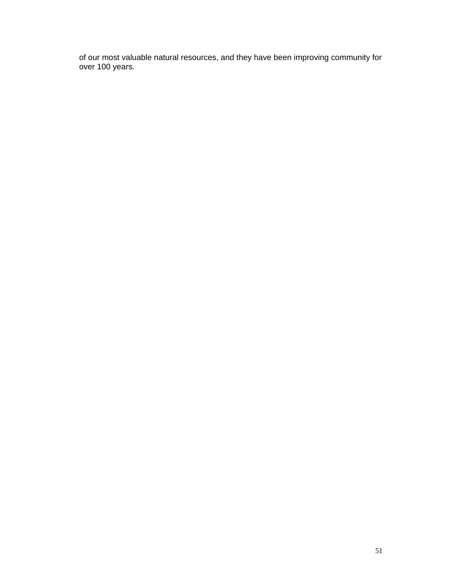of our most valuable natural resources, and they have been improving community for over 100 years.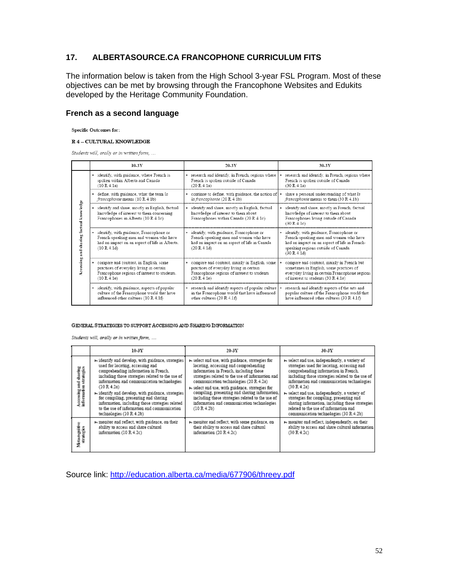## **17. ALBERTASOURCE.CA FRANCOPHONE CURRICULUM FITS**

The information below is taken from the High School 3-year FSL Program. Most of these objectives can be met by browsing through the Francophone Websites and Edukits developed by the Heritage Community Foundation.

## **French as a second language**

**Specific Outcomes for:** 

#### $R$ 4 – CULTURAL KNOWLEDGE

Students will, orally or in written form, ...

|                                         | $10-3Y$                                                                                                                                            | $20-3Y$                                                                                                                                            | $30-3Y$                                                                                                                                                                                   |
|-----------------------------------------|----------------------------------------------------------------------------------------------------------------------------------------------------|----------------------------------------------------------------------------------------------------------------------------------------------------|-------------------------------------------------------------------------------------------------------------------------------------------------------------------------------------------|
|                                         | • identify, with guidance, where French is                                                                                                         | • research and identify, in French, regions where                                                                                                  | research and identify, in French, regions where                                                                                                                                           |
|                                         | spoken within Alberta and Canada                                                                                                                   | French is spoken outside of Canada                                                                                                                 | French is spoken outside of Canada                                                                                                                                                        |
|                                         | (10 R 4.1a)                                                                                                                                        | (20 R 4.1a)                                                                                                                                        | (30 R 4.1a)                                                                                                                                                                               |
|                                         | · define, with guidance, what the term la                                                                                                          | • continue to define, with guidance, the notion of                                                                                                 | share a personal understanding of what la                                                                                                                                                 |
|                                         | francophonie means (10 R 4.1b)                                                                                                                     | la francophonie (20 R 4.1b)                                                                                                                        | francophonie means to them (30 R 4.1b)                                                                                                                                                    |
|                                         | identify and share, mostly in English, factual<br>knowledge of interest to them concerning<br>Francophones in Alberta (10 R 4.1c)                  | • identify and share, mostly in English, factual<br>knowledge of interest to them about<br>Francophones within Canada (20 R 4.1c)                  | • identify and share, mostly in French, factual<br>knowledge of interest to them about<br>Francophones living outside of Canada<br>(30 R 4.1c)                                            |
| Accessing and sharing factual knowledge | identify, with guidance, Francophone or<br>French-speaking men and women who have<br>had an impact on an aspect of life in Alberta.<br>(10 R 4.1d) | · identify, with guidance, Francophone or<br>French-speaking men and women who have<br>had an impact on an aspect of life in Canada<br>(20 R 4.1d) | · identify, with guidance, Francophone or<br>French-speaking men and women who have<br>had an impact on an aspect of life in French-<br>speaking regions outside of Canada<br>(30 R.4.1d) |
|                                         | compare and contrast, in English, some                                                                                                             | • compare and contrast, mainly in English, some                                                                                                    | compare and contrast, mainly in French but                                                                                                                                                |
|                                         | practices of everyday living in certain                                                                                                            | practices of everyday living in certain                                                                                                            | sometimes in English, some practices of                                                                                                                                                   |
|                                         | Francophone regions of interest to students.                                                                                                       | Francophone regions of interest to students                                                                                                        | everyday living in certain Francophone regions                                                                                                                                            |
|                                         | (10 R 4.1e)                                                                                                                                        | (20 R 4.1e)                                                                                                                                        | of interest to students (30 R 4.1e)                                                                                                                                                       |
|                                         | · identify, with guidance, aspects of popular                                                                                                      | • research and identify aspects of popular culture                                                                                                 | research and identify aspects of the arts and                                                                                                                                             |
|                                         | culture of the Francophone world that have                                                                                                         | in the Francophone world that have influenced                                                                                                      | popular culture of the Francophone world that                                                                                                                                             |
|                                         | influenced other cultures (10 R 4.1f)                                                                                                              | other cultures (20 R 4.1f)                                                                                                                         | have influenced other cultures (30 R 4.1f)                                                                                                                                                |

#### GENERAL STRATEGIES TO SUPPORT ACCESSING AND SHARING INFORMATION

Students will, orally or in written form, ...

|  |                                                 | $10-3Y$                                                                                                                                                                                                                                                                                                                                                                                                                                                                                        | $20-3V$                                                                                                                                                                                                                                                                                                                                                                                                                                               | $30-3Y$                                                                                                                                                                                                                                                                                                                                                                                                                                                                                                      |
|--|-------------------------------------------------|------------------------------------------------------------------------------------------------------------------------------------------------------------------------------------------------------------------------------------------------------------------------------------------------------------------------------------------------------------------------------------------------------------------------------------------------------------------------------------------------|-------------------------------------------------------------------------------------------------------------------------------------------------------------------------------------------------------------------------------------------------------------------------------------------------------------------------------------------------------------------------------------------------------------------------------------------------------|--------------------------------------------------------------------------------------------------------------------------------------------------------------------------------------------------------------------------------------------------------------------------------------------------------------------------------------------------------------------------------------------------------------------------------------------------------------------------------------------------------------|
|  | Accessing and sharing<br>information strategies | H identify and develop, with guidance, strategies<br>used for locating, accessing and<br>comprehending information in French.<br>including those strategies related to the use of<br>information and communication technologies<br>(10 R.4.2a)<br>$\blacktriangleright$ identify and develop, with guidance, strategies<br>for compiling, presenting and sharing<br>information, including those strategies related<br>to the use of information and communication<br>technologies (10 R.4.2b) | » select and use, with guidance, strategies for<br>locating, accessing and comprehending<br>information in French, including those<br>strategies related to the use of information and<br>communication technologies (20 R. 4.2a)<br>» select and use, with guidance, strategies for<br>compiling, presenting and sharing information,<br>including those strategies related to the use of<br>information and communication technologies<br>(10R4.2b) | H select and use, independently, a variety of<br>strategies used for locating, accessing and<br>comprehending information in French.<br>including those strategies related to the use of<br>information and communication technologies<br>(30 R.4.2a)<br>$\blacktriangleright$ select and use, independently, a variety of<br>strategies for compiling, presenting and<br>sharing information, including those strategies<br>related to the use of information and<br>communication technologies (30 R 4.2b) |
|  | Metaognitive<br>strategies                      | → monitor and reflect, with guidance, on their<br>ability to access and share cultural<br>information (10 R 4.2c)                                                                                                                                                                                                                                                                                                                                                                              | » monitor and reflect, with some guidance, on<br>their ability to access and share cultural<br>information (20 R 4.2c)                                                                                                                                                                                                                                                                                                                                | $\blacktriangleright$ monitor and reflect, independently, on their<br>ability to access and share cultural information<br>(30 R.4.2c)                                                                                                                                                                                                                                                                                                                                                                        |

Source link: http://education.alberta.ca/media/677906/threey.pdf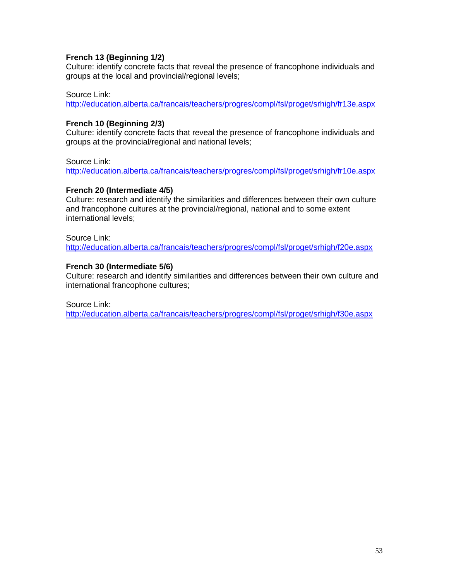## **French 13 (Beginning 1/2)**

Culture: identify concrete facts that reveal the presence of francophone individuals and groups at the local and provincial/regional levels;

## Source Link:

http://education.alberta.ca/francais/teachers/progres/compl/fsl/proget/srhigh/fr13e.aspx

## **French 10 (Beginning 2/3)**

Culture: identify concrete facts that reveal the presence of francophone individuals and groups at the provincial/regional and national levels;

Source Link:

http://education.alberta.ca/francais/teachers/progres/compl/fsl/proget/srhigh/fr10e.aspx

## **French 20 (Intermediate 4/5)**

Culture: research and identify the similarities and differences between their own culture and francophone cultures at the provincial/regional, national and to some extent international levels;

Source Link:

http://education.alberta.ca/francais/teachers/progres/compl/fsl/proget/srhigh/f20e.aspx

## **French 30 (Intermediate 5/6)**

Culture: research and identify similarities and differences between their own culture and international francophone cultures;

Source Link:

http://education.alberta.ca/francais/teachers/progres/compl/fsl/proget/srhigh/f30e.aspx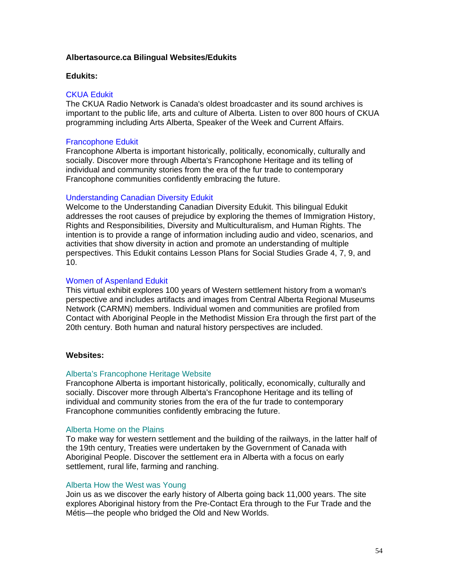## **Albertasource.ca Bilingual Websites/Edukits**

## **Edukits:**

## CKUA Edukit

The CKUA Radio Network is Canada's oldest broadcaster and its sound archives is important to the public life, arts and culture of Alberta. Listen to over 800 hours of CKUA programming including Arts Alberta, Speaker of the Week and Current Affairs.

## Francophone Edukit

Francophone Alberta is important historically, politically, economically, culturally and socially. Discover more through Alberta's Francophone Heritage and its telling of individual and community stories from the era of the fur trade to contemporary Francophone communities confidently embracing the future.

## Understanding Canadian Diversity Edukit

Welcome to the Understanding Canadian Diversity Edukit. This bilingual Edukit addresses the root causes of prejudice by exploring the themes of Immigration History, Rights and Responsibilities, Diversity and Multiculturalism, and Human Rights. The intention is to provide a range of information including audio and video, scenarios, and activities that show diversity in action and promote an understanding of multiple perspectives. This Edukit contains Lesson Plans for Social Studies Grade 4, 7, 9, and 10.

## Women of Aspenland Edukit

This virtual exhibit explores 100 years of Western settlement history from a woman's perspective and includes artifacts and images from Central Alberta Regional Museums Network (CARMN) members. Individual women and communities are profiled from Contact with Aboriginal People in the Methodist Mission Era through the first part of the 20th century. Both human and natural history perspectives are included.

## **Websites:**

## Alberta's Francophone Heritage Website

Francophone Alberta is important historically, politically, economically, culturally and socially. Discover more through Alberta's Francophone Heritage and its telling of individual and community stories from the era of the fur trade to contemporary Francophone communities confidently embracing the future.

## Alberta Home on the Plains

To make way for western settlement and the building of the railways, in the latter half of the 19th century, Treaties were undertaken by the Government of Canada with Aboriginal People. Discover the settlement era in Alberta with a focus on early settlement, rural life, farming and ranching.

## Alberta How the West was Young

Join us as we discover the early history of Alberta going back 11,000 years. The site explores Aboriginal history from the Pre-Contact Era through to the Fur Trade and the Métis—the people who bridged the Old and New Worlds.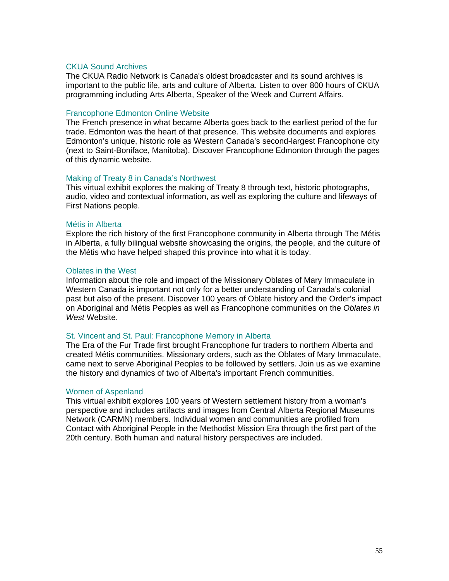## CKUA Sound Archives

The CKUA Radio Network is Canada's oldest broadcaster and its sound archives is important to the public life, arts and culture of Alberta. Listen to over 800 hours of CKUA programming including Arts Alberta, Speaker of the Week and Current Affairs.

## Francophone Edmonton Online Website

The French presence in what became Alberta goes back to the earliest period of the fur trade. Edmonton was the heart of that presence. This website documents and explores Edmonton's unique, historic role as Western Canada's second-largest Francophone city (next to Saint-Boniface, Manitoba). Discover Francophone Edmonton through the pages of this dynamic website.

## Making of Treaty 8 in Canada's Northwest

This virtual exhibit explores the making of Treaty 8 through text, historic photographs, audio, video and contextual information, as well as exploring the culture and lifeways of First Nations people.

## Métis in Alberta

Explore the rich history of the first Francophone community in Alberta through The Métis in Alberta, a fully bilingual website showcasing the origins, the people, and the culture of the Métis who have helped shaped this province into what it is today.

## Oblates in the West

Information about the role and impact of the Missionary Oblates of Mary Immaculate in Western Canada is important not only for a better understanding of Canada's colonial past but also of the present. Discover 100 years of Oblate history and the Order's impact on Aboriginal and Métis Peoples as well as Francophone communities on the *Oblates in West* Website.

## St. Vincent and St. Paul: Francophone Memory in Alberta

The Era of the Fur Trade first brought Francophone fur traders to northern Alberta and created Métis communities. Missionary orders, such as the Oblates of Mary Immaculate, came next to serve Aboriginal Peoples to be followed by settlers. Join us as we examine the history and dynamics of two of Alberta's important French communities.

## Women of Aspenland

This virtual exhibit explores 100 years of Western settlement history from a woman's perspective and includes artifacts and images from Central Alberta Regional Museums Network (CARMN) members. Individual women and communities are profiled from Contact with Aboriginal People in the Methodist Mission Era through the first part of the 20th century. Both human and natural history perspectives are included.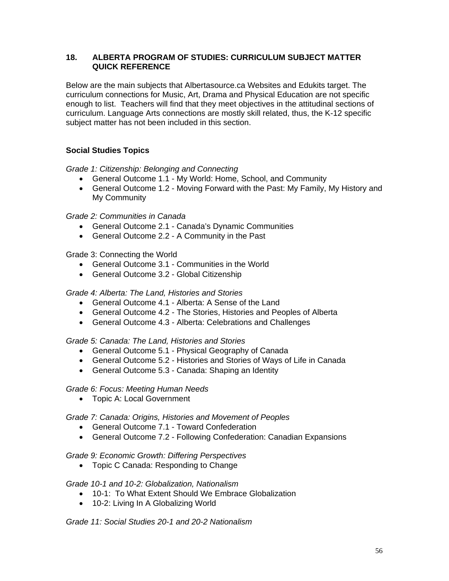## **18. ALBERTA PROGRAM OF STUDIES: CURRICULUM SUBJECT MATTER QUICK REFERENCE**

Below are the main subjects that Albertasource.ca Websites and Edukits target. The curriculum connections for Music, Art, Drama and Physical Education are not specific enough to list. Teachers will find that they meet objectives in the attitudinal sections of curriculum. Language Arts connections are mostly skill related, thus, the K-12 specific subject matter has not been included in this section.

## **Social Studies Topics**

*Grade 1: Citizenship: Belonging and Connecting* 

- General Outcome 1.1 My World: Home, School, and Community
- General Outcome 1.2 Moving Forward with the Past: My Family, My History and My Community

*Grade 2: Communities in Canada* 

- General Outcome 2.1 Canada's Dynamic Communities
- General Outcome 2.2 A Community in the Past

Grade 3: Connecting the World

- General Outcome 3.1 Communities in the World
- General Outcome 3.2 Global Citizenship

## *Grade 4: Alberta: The Land, Histories and Stories*

- General Outcome 4.1 Alberta: A Sense of the Land
- General Outcome 4.2 The Stories, Histories and Peoples of Alberta
- General Outcome 4.3 Alberta: Celebrations and Challenges

## *Grade 5: Canada: The Land, Histories and Stories*

- General Outcome 5.1 Physical Geography of Canada
- General Outcome 5.2 Histories and Stories of Ways of Life in Canada
- General Outcome 5.3 Canada: Shaping an Identity

## *Grade 6: Focus: Meeting Human Needs*

• Topic A: Local Government

## *Grade 7: Canada: Origins, Histories and Movement of Peoples*

- General Outcome 7.1 Toward Confederation
- General Outcome 7.2 Following Confederation: Canadian Expansions

## *Grade 9: Economic Growth: Differing Perspectives*

• Topic C Canada: Responding to Change

## *Grade 10-1 and 10-2: Globalization, Nationalism*

- 10-1: To What Extent Should We Embrace Globalization
- 10-2: Living In A Globalizing World

*Grade 11: Social Studies 20-1 and 20-2 Nationalism*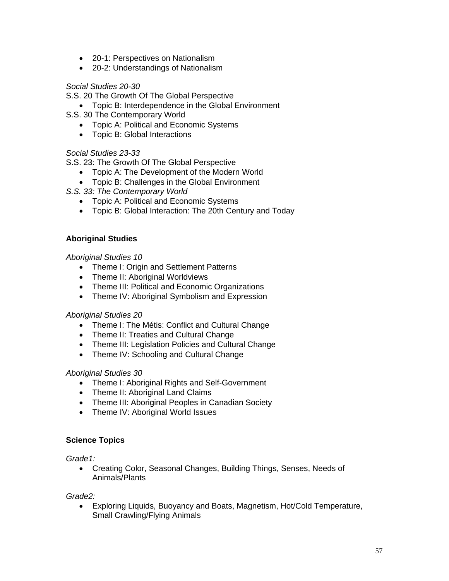- 20-1: Perspectives on Nationalism
- 20-2: Understandings of Nationalism

## *Social Studies 20-30*

S.S. 20 The Growth Of The Global Perspective

- Topic B: Interdependence in the Global Environment
- S.S. 30 The Contemporary World
	- Topic A: Political and Economic Systems
	- Topic B: Global Interactions

## *Social Studies 23-33*

S.S. 23: The Growth Of The Global Perspective

- Topic A: The Development of the Modern World
- Topic B: Challenges in the Global Environment

*S.S. 33: The Contemporary World* 

- Topic A: Political and Economic Systems
- Topic B: Global Interaction: The 20th Century and Today

## **Aboriginal Studies**

## *Aboriginal Studies 10*

- Theme I: Origin and Settlement Patterns
- Theme II: Aboriginal Worldviews
- Theme III: Political and Economic Organizations
- Theme IV: Aboriginal Symbolism and Expression

## *Aboriginal Studies 20*

- Theme I: The Métis: Conflict and Cultural Change
- Theme II: Treaties and Cultural Change
- Theme III: Legislation Policies and Cultural Change
- Theme IV: Schooling and Cultural Change

## *Aboriginal Studies 30*

- Theme I: Aboriginal Rights and Self-Government
- Theme II: Aboriginal Land Claims
- Theme III: Aboriginal Peoples in Canadian Society
- Theme IV: Aboriginal World Issues

## **Science Topics**

*Grade1:* 

• Creating Color, Seasonal Changes, Building Things, Senses, Needs of Animals/Plants

## *Grade2:*

• Exploring Liquids, Buoyancy and Boats, Magnetism, Hot/Cold Temperature, Small Crawling/Flying Animals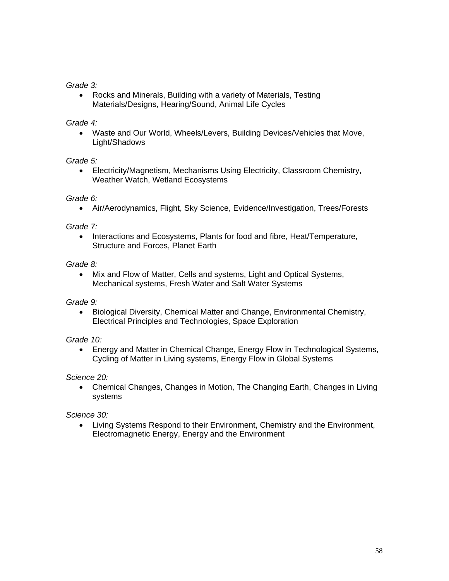## *Grade 3:*

• Rocks and Minerals, Building with a variety of Materials, Testing Materials/Designs, Hearing/Sound, Animal Life Cycles

## *Grade 4:*

• Waste and Our World, Wheels/Levers, Building Devices/Vehicles that Move, Light/Shadows

## *Grade 5:*

• Electricity/Magnetism, Mechanisms Using Electricity, Classroom Chemistry, Weather Watch, Wetland Ecosystems

## *Grade 6:*

• Air/Aerodynamics, Flight, Sky Science, Evidence/Investigation, Trees/Forests

## *Grade 7:*

• Interactions and Ecosystems, Plants for food and fibre, Heat/Temperature, Structure and Forces, Planet Earth

## *Grade 8:*

• Mix and Flow of Matter, Cells and systems, Light and Optical Systems, Mechanical systems, Fresh Water and Salt Water Systems

## *Grade 9:*

• Biological Diversity, Chemical Matter and Change, Environmental Chemistry, Electrical Principles and Technologies, Space Exploration

## *Grade 10:*

• Energy and Matter in Chemical Change, Energy Flow in Technological Systems, Cycling of Matter in Living systems, Energy Flow in Global Systems

## *Science 20:*

• Chemical Changes, Changes in Motion, The Changing Earth, Changes in Living systems

## *Science 30:*

• Living Systems Respond to their Environment, Chemistry and the Environment, Electromagnetic Energy, Energy and the Environment